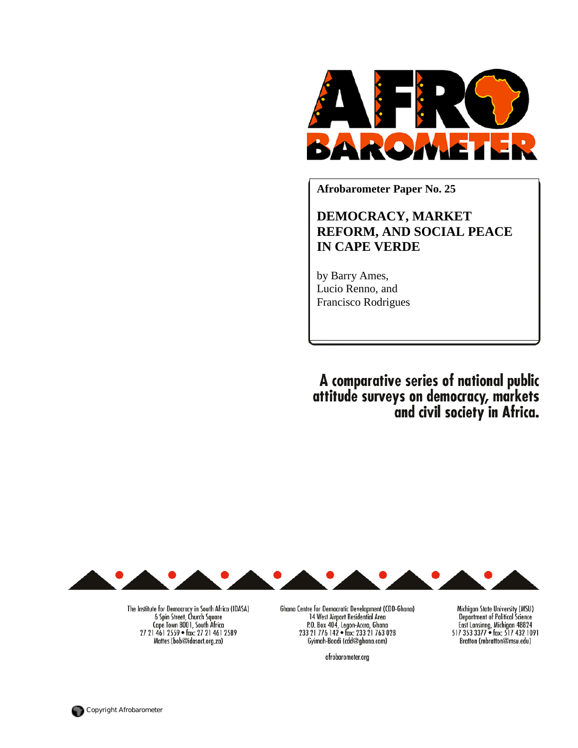

**Afrobarometer Paper No. 25** 

**DEMOCRACY, MARKET REFORM, AND SOCIAL PEACE IN CAPE VERDE** 

by Barry Ames, Lucio Renno, and Francisco Rodrigues

A comparative series of national public<br>attitude surveys on democracy, markets<br>and civil society in Africa.



The Institute for Democracy in South Africa (IDASA)<br>6 Spin Street, Church Square<br>2 Cape Town 8001, South Africa 27 21 461 2559 · fax: 27 21 461 2589 Mattes (bob@idasact.org.za)

Ghana Centre for Democratic Development (CDD-Ghana) 14 West Airport Residential Area<br>
14 West Airport Residential Area<br>
233 21 776 142 • fax: 233 21 763 028<br>
Gyimah-Boadi (cdd@ghana.com)

afrobarometer.org

Michigan State University (MSU) Department of Political Science<br>East Lansinng, Michigan 48824<br>517 353 3377 • fax: 517 432 1091 Bratton (mbratton@msu.edu)

Copyright Afrobarometer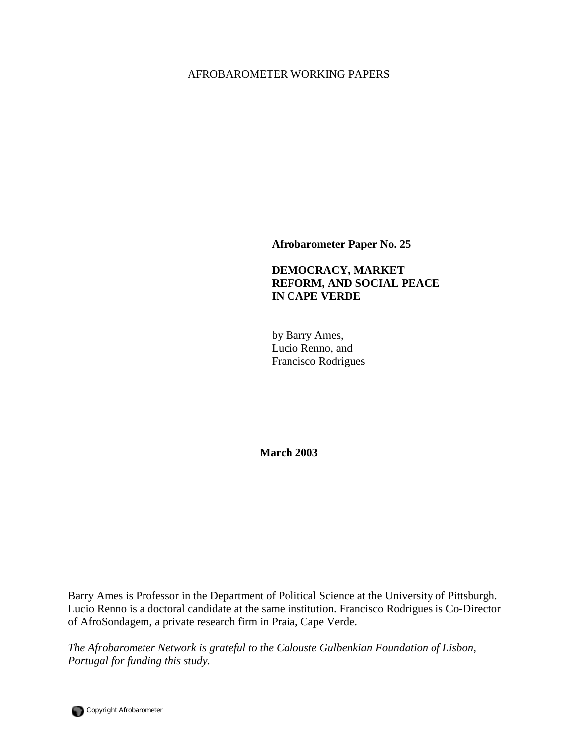# AFROBAROMETER WORKING PAPERS

**Afrobarometer Paper No. 25** 

# **DEMOCRACY, MARKET REFORM, AND SOCIAL PEACE IN CAPE VERDE**

by Barry Ames, Lucio Renno, and Francisco Rodrigues

**March 2003** 

Barry Ames is Professor in the Department of Political Science at the University of Pittsburgh. Lucio Renno is a doctoral candidate at the same institution. Francisco Rodrigues is Co-Director of AfroSondagem, a private research firm in Praia, Cape Verde.

*The Afrobarometer Network is grateful to the Calouste Gulbenkian Foundation of Lisbon, Portugal for funding this study.*

Copyright Afrobarometer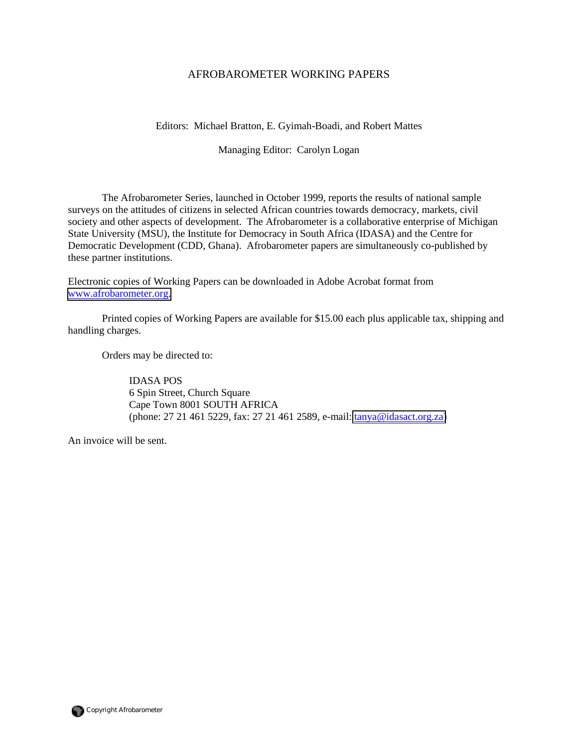## AFROBAROMETER WORKING PAPERS

#### Editors: Michael Bratton, E. Gyimah-Boadi, and Robert Mattes

### Managing Editor: Carolyn Logan

 The Afrobarometer Series, launched in October 1999, reports the results of national sample surveys on the attitudes of citizens in selected African countries towards democracy, markets, civil society and other aspects of development. The Afrobarometer is a collaborative enterprise of Michigan State University (MSU), the Institute for Democracy in South Africa (IDASA) and the Centre for Democratic Development (CDD, Ghana). Afrobarometer papers are simultaneously co-published by these partner institutions.

Electronic copies of Working Papers can be downloaded in Adobe Acrobat format from [www.afrobarometer.org.](http://www.afrobarometer.org/)

Printed copies of Working Papers are available for \$15.00 each plus applicable tax, shipping and handling charges.

Orders may be directed to:

 IDASA POS 6 Spin Street, Church Square Cape Town 8001 SOUTH AFRICA (phone: 27 21 461 5229, fax: 27 21 461 2589, e-mail: [tanya@idasact.org.za\)](mailto: tanya@idasact.org.za)

An invoice will be sent.

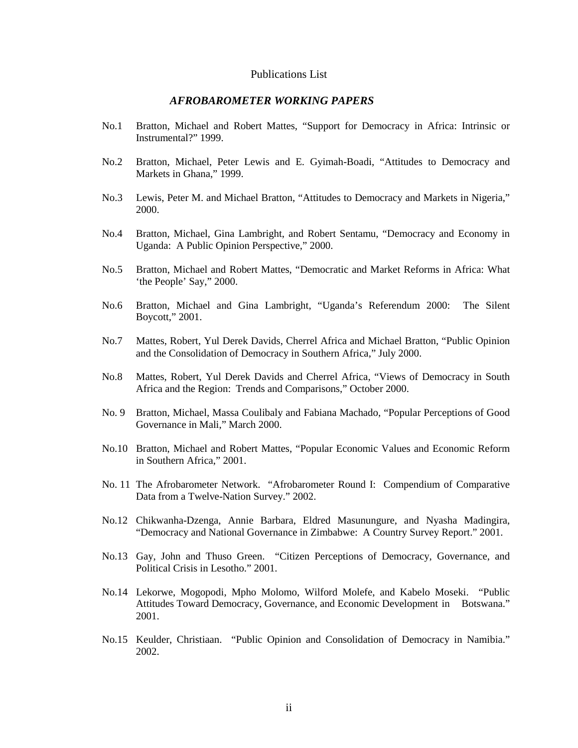#### Publications List

### *AFROBAROMETER WORKING PAPERS*

- No.1 Bratton, Michael and Robert Mattes, "Support for Democracy in Africa: Intrinsic or Instrumental?" 1999.
- No.2 Bratton, Michael, Peter Lewis and E. Gyimah-Boadi, "Attitudes to Democracy and Markets in Ghana," 1999.
- No.3 Lewis, Peter M. and Michael Bratton, "Attitudes to Democracy and Markets in Nigeria," 2000.
- No.4 Bratton, Michael, Gina Lambright, and Robert Sentamu, "Democracy and Economy in Uganda: A Public Opinion Perspective," 2000.
- No.5 Bratton, Michael and Robert Mattes, "Democratic and Market Reforms in Africa: What 'the People' Say," 2000.
- No.6 Bratton, Michael and Gina Lambright, "Uganda's Referendum 2000: The Silent Boycott," 2001.
- No.7 Mattes, Robert, Yul Derek Davids, Cherrel Africa and Michael Bratton, "Public Opinion and the Consolidation of Democracy in Southern Africa," July 2000.
- No.8 Mattes, Robert, Yul Derek Davids and Cherrel Africa, "Views of Democracy in South Africa and the Region: Trends and Comparisons," October 2000.
- No. 9 Bratton, Michael, Massa Coulibaly and Fabiana Machado, "Popular Perceptions of Good Governance in Mali," March 2000.
- No.10 Bratton, Michael and Robert Mattes, "Popular Economic Values and Economic Reform in Southern Africa," 2001.
- No. 11 The Afrobarometer Network. "Afrobarometer Round I: Compendium of Comparative Data from a Twelve-Nation Survey." 2002.
- No.12 Chikwanha-Dzenga, Annie Barbara, Eldred Masunungure, and Nyasha Madingira, "Democracy and National Governance in Zimbabwe: A Country Survey Report." 2001.
- No.13 Gay, John and Thuso Green. "Citizen Perceptions of Democracy, Governance, and Political Crisis in Lesotho." 2001.
- No.14 Lekorwe, Mogopodi, Mpho Molomo, Wilford Molefe, and Kabelo Moseki. "Public Attitudes Toward Democracy, Governance, and Economic Development in Botswana." 2001.
- No.15 Keulder, Christiaan. "Public Opinion and Consolidation of Democracy in Namibia." 2002.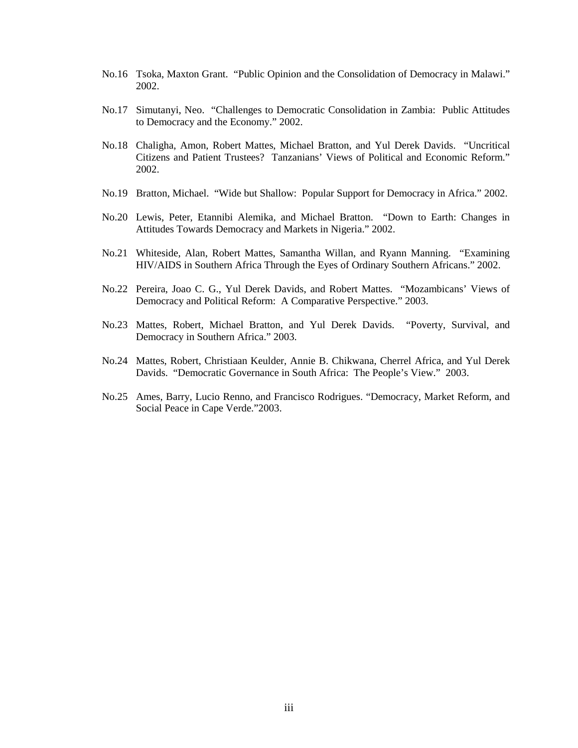- No.16 Tsoka, Maxton Grant. "Public Opinion and the Consolidation of Democracy in Malawi." 2002.
- No.17 Simutanyi, Neo. "Challenges to Democratic Consolidation in Zambia: Public Attitudes to Democracy and the Economy." 2002.
- No.18 Chaligha, Amon, Robert Mattes, Michael Bratton, and Yul Derek Davids. "Uncritical Citizens and Patient Trustees? Tanzanians' Views of Political and Economic Reform." 2002.
- No.19 Bratton, Michael. "Wide but Shallow: Popular Support for Democracy in Africa." 2002.
- No.20 Lewis, Peter, Etannibi Alemika, and Michael Bratton. "Down to Earth: Changes in Attitudes Towards Democracy and Markets in Nigeria." 2002.
- No.21 Whiteside, Alan, Robert Mattes, Samantha Willan, and Ryann Manning. "Examining HIV/AIDS in Southern Africa Through the Eyes of Ordinary Southern Africans." 2002.
- No.22 Pereira, Joao C. G., Yul Derek Davids, and Robert Mattes. "Mozambicans' Views of Democracy and Political Reform: A Comparative Perspective." 2003.
- No.23 Mattes, Robert, Michael Bratton, and Yul Derek Davids. "Poverty, Survival, and Democracy in Southern Africa." 2003.
- No.24 Mattes, Robert, Christiaan Keulder, Annie B. Chikwana, Cherrel Africa, and Yul Derek Davids. "Democratic Governance in South Africa: The People's View." 2003.
- No.25 Ames, Barry, Lucio Renno, and Francisco Rodrigues. "Democracy, Market Reform, and Social Peace in Cape Verde."2003.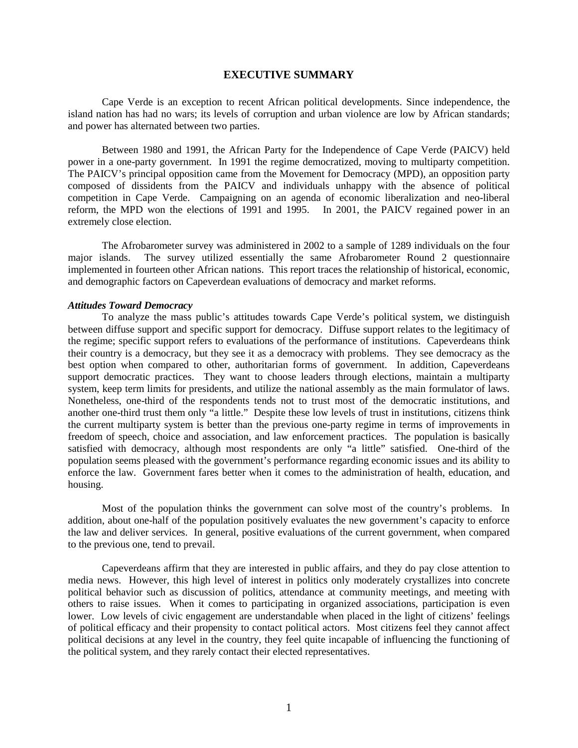#### **EXECUTIVE SUMMARY**

Cape Verde is an exception to recent African political developments. Since independence, the island nation has had no wars; its levels of corruption and urban violence are low by African standards; and power has alternated between two parties.

 Between 1980 and 1991, the African Party for the Independence of Cape Verde (PAICV) held power in a one-party government. In 1991 the regime democratized, moving to multiparty competition. The PAICV's principal opposition came from the Movement for Democracy (MPD), an opposition party composed of dissidents from the PAICV and individuals unhappy with the absence of political competition in Cape Verde. Campaigning on an agenda of economic liberalization and neo-liberal reform, the MPD won the elections of 1991 and 1995. In 2001, the PAICV regained power in an extremely close election.

 The Afrobarometer survey was administered in 2002 to a sample of 1289 individuals on the four major islands. The survey utilized essentially the same Afrobarometer Round 2 questionnaire implemented in fourteen other African nations. This report traces the relationship of historical, economic, and demographic factors on Capeverdean evaluations of democracy and market reforms.

#### *Attitudes Toward Democracy*

To analyze the mass public's attitudes towards Cape Verde's political system, we distinguish between diffuse support and specific support for democracy. Diffuse support relates to the legitimacy of the regime; specific support refers to evaluations of the performance of institutions. Capeverdeans think their country is a democracy, but they see it as a democracy with problems. They see democracy as the best option when compared to other, authoritarian forms of government. In addition, Capeverdeans support democratic practices. They want to choose leaders through elections, maintain a multiparty system, keep term limits for presidents, and utilize the national assembly as the main formulator of laws. Nonetheless, one-third of the respondents tends not to trust most of the democratic institutions, and another one-third trust them only "a little." Despite these low levels of trust in institutions, citizens think the current multiparty system is better than the previous one-party regime in terms of improvements in freedom of speech, choice and association, and law enforcement practices. The population is basically satisfied with democracy, although most respondents are only "a little" satisfied. One-third of the population seems pleased with the government's performance regarding economic issues and its ability to enforce the law. Government fares better when it comes to the administration of health, education, and housing.

Most of the population thinks the government can solve most of the country's problems. In addition, about one-half of the population positively evaluates the new government's capacity to enforce the law and deliver services. In general, positive evaluations of the current government, when compared to the previous one, tend to prevail.

 Capeverdeans affirm that they are interested in public affairs, and they do pay close attention to media news. However, this high level of interest in politics only moderately crystallizes into concrete political behavior such as discussion of politics, attendance at community meetings, and meeting with others to raise issues. When it comes to participating in organized associations, participation is even lower. Low levels of civic engagement are understandable when placed in the light of citizens' feelings of political efficacy and their propensity to contact political actors. Most citizens feel they cannot affect political decisions at any level in the country, they feel quite incapable of influencing the functioning of the political system, and they rarely contact their elected representatives.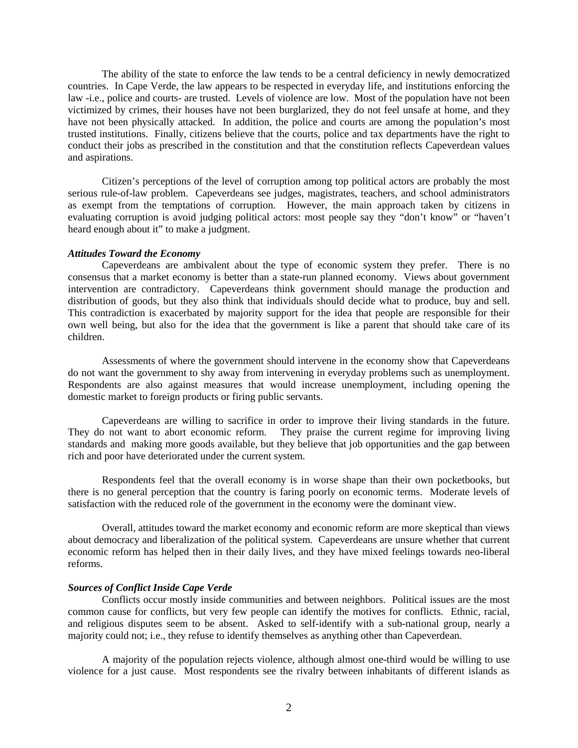The ability of the state to enforce the law tends to be a central deficiency in newly democratized countries. In Cape Verde, the law appears to be respected in everyday life, and institutions enforcing the law -i.e., police and courts- are trusted. Levels of violence are low. Most of the population have not been victimized by crimes, their houses have not been burglarized, they do not feel unsafe at home, and they have not been physically attacked. In addition, the police and courts are among the population's most trusted institutions. Finally, citizens believe that the courts, police and tax departments have the right to conduct their jobs as prescribed in the constitution and that the constitution reflects Capeverdean values and aspirations.

 Citizen's perceptions of the level of corruption among top political actors are probably the most serious rule-of-law problem. Capeverdeans see judges, magistrates, teachers, and school administrators as exempt from the temptations of corruption. However, the main approach taken by citizens in evaluating corruption is avoid judging political actors: most people say they "don't know" or "haven't heard enough about it" to make a judgment.

#### *Attitudes Toward the Economy*

Capeverdeans are ambivalent about the type of economic system they prefer. There is no consensus that a market economy is better than a state-run planned economy. Views about government intervention are contradictory. Capeverdeans think government should manage the production and distribution of goods, but they also think that individuals should decide what to produce, buy and sell. This contradiction is exacerbated by majority support for the idea that people are responsible for their own well being, but also for the idea that the government is like a parent that should take care of its children.

 Assessments of where the government should intervene in the economy show that Capeverdeans do not want the government to shy away from intervening in everyday problems such as unemployment. Respondents are also against measures that would increase unemployment, including opening the domestic market to foreign products or firing public servants.

 Capeverdeans are willing to sacrifice in order to improve their living standards in the future. They do not want to abort economic reform. They praise the current regime for improving living standards and making more goods available, but they believe that job opportunities and the gap between rich and poor have deteriorated under the current system.

 Respondents feel that the overall economy is in worse shape than their own pocketbooks, but there is no general perception that the country is faring poorly on economic terms. Moderate levels of satisfaction with the reduced role of the government in the economy were the dominant view.

Overall, attitudes toward the market economy and economic reform are more skeptical than views about democracy and liberalization of the political system. Capeverdeans are unsure whether that current economic reform has helped then in their daily lives, and they have mixed feelings towards neo-liberal reforms.

#### *Sources of Conflict Inside Cape Verde*

Conflicts occur mostly inside communities and between neighbors. Political issues are the most common cause for conflicts, but very few people can identify the motives for conflicts. Ethnic, racial, and religious disputes seem to be absent. Asked to self-identify with a sub-national group, nearly a majority could not; i.e., they refuse to identify themselves as anything other than Capeverdean.

 A majority of the population rejects violence, although almost one-third would be willing to use violence for a just cause. Most respondents see the rivalry between inhabitants of different islands as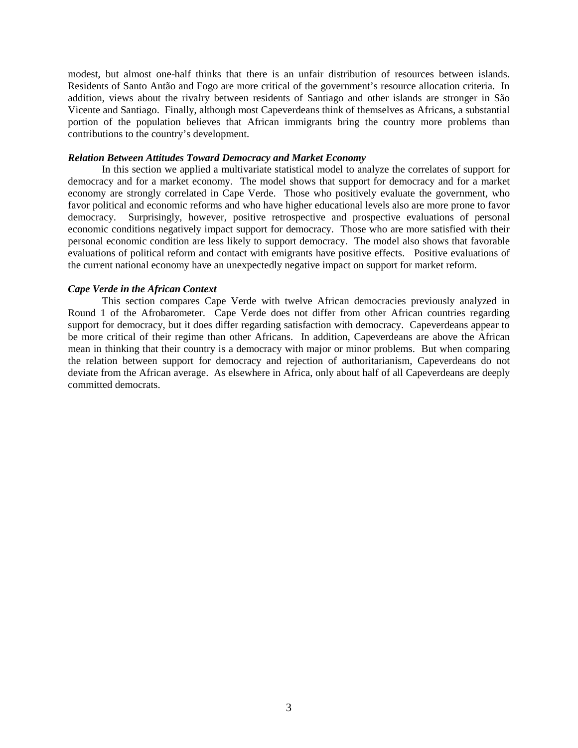modest, but almost one-half thinks that there is an unfair distribution of resources between islands. Residents of Santo Antão and Fogo are more critical of the government's resource allocation criteria. In addition, views about the rivalry between residents of Santiago and other islands are stronger in São Vicente and Santiago. Finally, although most Capeverdeans think of themselves as Africans, a substantial portion of the population believes that African immigrants bring the country more problems than contributions to the country's development.

#### *Relation Between Attitudes Toward Democracy and Market Economy*

In this section we applied a multivariate statistical model to analyze the correlates of support for democracy and for a market economy. The model shows that support for democracy and for a market economy are strongly correlated in Cape Verde. Those who positively evaluate the government, who favor political and economic reforms and who have higher educational levels also are more prone to favor democracy. Surprisingly, however, positive retrospective and prospective evaluations of personal economic conditions negatively impact support for democracy. Those who are more satisfied with their personal economic condition are less likely to support democracy. The model also shows that favorable evaluations of political reform and contact with emigrants have positive effects. Positive evaluations of the current national economy have an unexpectedly negative impact on support for market reform.

#### *Cape Verde in the African Context*

This section compares Cape Verde with twelve African democracies previously analyzed in Round 1 of the Afrobarometer. Cape Verde does not differ from other African countries regarding support for democracy, but it does differ regarding satisfaction with democracy. Capeverdeans appear to be more critical of their regime than other Africans. In addition, Capeverdeans are above the African mean in thinking that their country is a democracy with major or minor problems. But when comparing the relation between support for democracy and rejection of authoritarianism, Capeverdeans do not deviate from the African average. As elsewhere in Africa, only about half of all Capeverdeans are deeply committed democrats.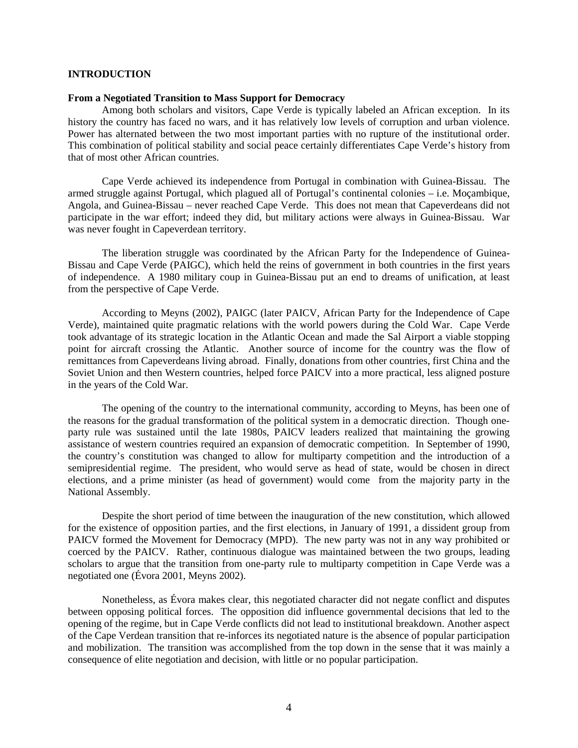#### **INTRODUCTION**

#### **From a Negotiated Transition to Mass Support for Democracy**

Among both scholars and visitors, Cape Verde is typically labeled an African exception. In its history the country has faced no wars, and it has relatively low levels of corruption and urban violence. Power has alternated between the two most important parties with no rupture of the institutional order. This combination of political stability and social peace certainly differentiates Cape Verde's history from that of most other African countries.

 Cape Verde achieved its independence from Portugal in combination with Guinea-Bissau. The armed struggle against Portugal, which plagued all of Portugal's continental colonies – i.e. Moçambique, Angola, and Guinea-Bissau – never reached Cape Verde. This does not mean that Capeverdeans did not participate in the war effort; indeed they did, but military actions were always in Guinea-Bissau. War was never fought in Capeverdean territory.

The liberation struggle was coordinated by the African Party for the Independence of Guinea-Bissau and Cape Verde (PAIGC), which held the reins of government in both countries in the first years of independence. A 1980 military coup in Guinea-Bissau put an end to dreams of unification, at least from the perspective of Cape Verde.

According to Meyns (2002), PAIGC (later PAICV, African Party for the Independence of Cape Verde), maintained quite pragmatic relations with the world powers during the Cold War. Cape Verde took advantage of its strategic location in the Atlantic Ocean and made the Sal Airport a viable stopping point for aircraft crossing the Atlantic. Another source of income for the country was the flow of remittances from Capeverdeans living abroad. Finally, donations from other countries, first China and the Soviet Union and then Western countries, helped force PAICV into a more practical, less aligned posture in the years of the Cold War.

The opening of the country to the international community, according to Meyns, has been one of the reasons for the gradual transformation of the political system in a democratic direction. Though oneparty rule was sustained until the late 1980s, PAICV leaders realized that maintaining the growing assistance of western countries required an expansion of democratic competition. In September of 1990, the country's constitution was changed to allow for multiparty competition and the introduction of a semipresidential regime. The president, who would serve as head of state, would be chosen in direct elections, and a prime minister (as head of government) would come from the majority party in the National Assembly.

Despite the short period of time between the inauguration of the new constitution, which allowed for the existence of opposition parties, and the first elections, in January of 1991, a dissident group from PAICV formed the Movement for Democracy (MPD). The new party was not in any way prohibited or coerced by the PAICV. Rather, continuous dialogue was maintained between the two groups, leading scholars to argue that the transition from one-party rule to multiparty competition in Cape Verde was a negotiated one (Évora 2001, Meyns 2002).

Nonetheless, as Évora makes clear, this negotiated character did not negate conflict and disputes between opposing political forces. The opposition did influence governmental decisions that led to the opening of the regime, but in Cape Verde conflicts did not lead to institutional breakdown. Another aspect of the Cape Verdean transition that re-inforces its negotiated nature is the absence of popular participation and mobilization. The transition was accomplished from the top down in the sense that it was mainly a consequence of elite negotiation and decision, with little or no popular participation.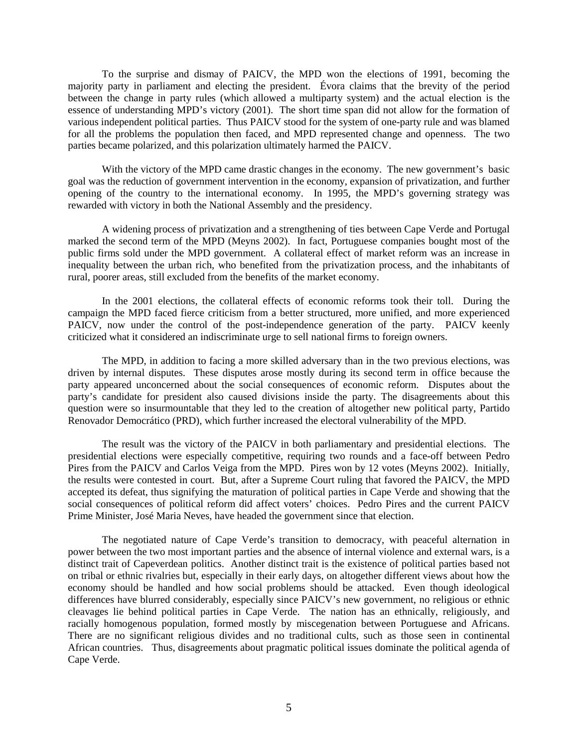To the surprise and dismay of PAICV, the MPD won the elections of 1991, becoming the majority party in parliament and electing the president. Évora claims that the brevity of the period between the change in party rules (which allowed a multiparty system) and the actual election is the essence of understanding MPD's victory (2001). The short time span did not allow for the formation of various independent political parties. Thus PAICV stood for the system of one-party rule and was blamed for all the problems the population then faced, and MPD represented change and openness. The two parties became polarized, and this polarization ultimately harmed the PAICV.

With the victory of the MPD came drastic changes in the economy. The new government's basic goal was the reduction of government intervention in the economy, expansion of privatization, and further opening of the country to the international economy. In 1995, the MPD's governing strategy was rewarded with victory in both the National Assembly and the presidency.

A widening process of privatization and a strengthening of ties between Cape Verde and Portugal marked the second term of the MPD (Meyns 2002). In fact, Portuguese companies bought most of the public firms sold under the MPD government. A collateral effect of market reform was an increase in inequality between the urban rich, who benefited from the privatization process, and the inhabitants of rural, poorer areas, still excluded from the benefits of the market economy.

In the 2001 elections, the collateral effects of economic reforms took their toll. During the campaign the MPD faced fierce criticism from a better structured, more unified, and more experienced PAICV, now under the control of the post-independence generation of the party. PAICV keenly criticized what it considered an indiscriminate urge to sell national firms to foreign owners.

The MPD, in addition to facing a more skilled adversary than in the two previous elections, was driven by internal disputes. These disputes arose mostly during its second term in office because the party appeared unconcerned about the social consequences of economic reform. Disputes about the party's candidate for president also caused divisions inside the party. The disagreements about this question were so insurmountable that they led to the creation of altogether new political party, Partido Renovador Democrático (PRD), which further increased the electoral vulnerability of the MPD.

The result was the victory of the PAICV in both parliamentary and presidential elections. The presidential elections were especially competitive, requiring two rounds and a face-off between Pedro Pires from the PAICV and Carlos Veiga from the MPD. Pires won by 12 votes (Meyns 2002). Initially, the results were contested in court. But, after a Supreme Court ruling that favored the PAICV, the MPD accepted its defeat, thus signifying the maturation of political parties in Cape Verde and showing that the social consequences of political reform did affect voters' choices. Pedro Pires and the current PAICV Prime Minister, José Maria Neves, have headed the government since that election.

The negotiated nature of Cape Verde's transition to democracy, with peaceful alternation in power between the two most important parties and the absence of internal violence and external wars, is a distinct trait of Capeverdean politics. Another distinct trait is the existence of political parties based not on tribal or ethnic rivalries but, especially in their early days, on altogether different views about how the economy should be handled and how social problems should be attacked. Even though ideological differences have blurred considerably, especially since PAICV's new government, no religious or ethnic cleavages lie behind political parties in Cape Verde. The nation has an ethnically, religiously, and racially homogenous population, formed mostly by miscegenation between Portuguese and Africans. There are no significant religious divides and no traditional cults, such as those seen in continental African countries. Thus, disagreements about pragmatic political issues dominate the political agenda of Cape Verde.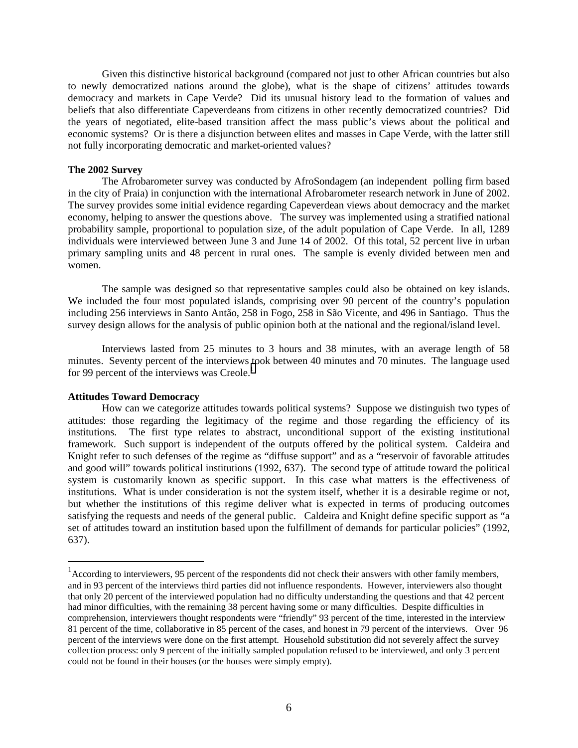Given this distinctive historical background (compared not just to other African countries but also to newly democratized nations around the globe), what is the shape of citizens' attitudes towards democracy and markets in Cape Verde? Did its unusual history lead to the formation of values and beliefs that also differentiate Capeverdeans from citizens in other recently democratized countries? Did the years of negotiated, elite-based transition affect the mass public's views about the political and economic systems? Or is there a disjunction between elites and masses in Cape Verde, with the latter still not fully incorporating democratic and market-oriented values?

#### **The 2002 Survey**

The Afrobarometer survey was conducted by AfroSondagem (an independent polling firm based in the city of Praia) in conjunction with the international Afrobarometer research network in June of 2002. The survey provides some initial evidence regarding Capeverdean views about democracy and the market economy, helping to answer the questions above. The survey was implemented using a stratified national probability sample, proportional to population size, of the adult population of Cape Verde. In all, 1289 individuals were interviewed between June 3 and June 14 of 2002. Of this total, 52 percent live in urban primary sampling units and 48 percent in rural ones. The sample is evenly divided between men and women.

The sample was designed so that representative samples could also be obtained on key islands. We included the four most populated islands, comprising over 90 percent of the country's population including 256 interviews in Santo Antão, 258 in Fogo, 258 in São Vicente, and 496 in Santiago. Thus the survey design allows for the analysis of public opinion both at the national and the regional/island level.

Interviews lasted from 25 minutes to 3 hours and 38 minutes, with an average length of 58 minutes. Seventy percent of the interviews took between 40 minutes and 70 minutes. The language used for 99 percent of the interviews was  $Creole<sup>1</sup>$ .

#### **Attitudes Toward Democracy**

 $\overline{a}$ 

How can we categorize attitudes towards political systems? Suppose we distinguish two types of attitudes: those regarding the legitimacy of the regime and those regarding the efficiency of its institutions. The first type relates to abstract, unconditional support of the existing institutional framework. Such support is independent of the outputs offered by the political system. Caldeira and Knight refer to such defenses of the regime as "diffuse support" and as a "reservoir of favorable attitudes and good will" towards political institutions (1992, 637). The second type of attitude toward the political system is customarily known as specific support. In this case what matters is the effectiveness of institutions. What is under consideration is not the system itself, whether it is a desirable regime or not, but whether the institutions of this regime deliver what is expected in terms of producing outcomes satisfying the requests and needs of the general public. Caldeira and Knight define specific support as "a set of attitudes toward an institution based upon the fulfillment of demands for particular policies" (1992, 637).

 $<sup>1</sup>$  According to interviewers, 95 percent of the respondents did not check their answers with other family members,</sup> and in 93 percent of the interviews third parties did not influence respondents. However, interviewers also thought that only 20 percent of the interviewed population had no difficulty understanding the questions and that 42 percent had minor difficulties, with the remaining 38 percent having some or many difficulties. Despite difficulties in comprehension, interviewers thought respondents were "friendly" 93 percent of the time, interested in the interview 81 percent of the time, collaborative in 85 percent of the cases, and honest in 79 percent of the interviews. Over 96 percent of the interviews were done on the first attempt. Household substitution did not severely affect the survey collection process: only 9 percent of the initially sampled population refused to be interviewed, and only 3 percent could not be found in their houses (or the houses were simply empty).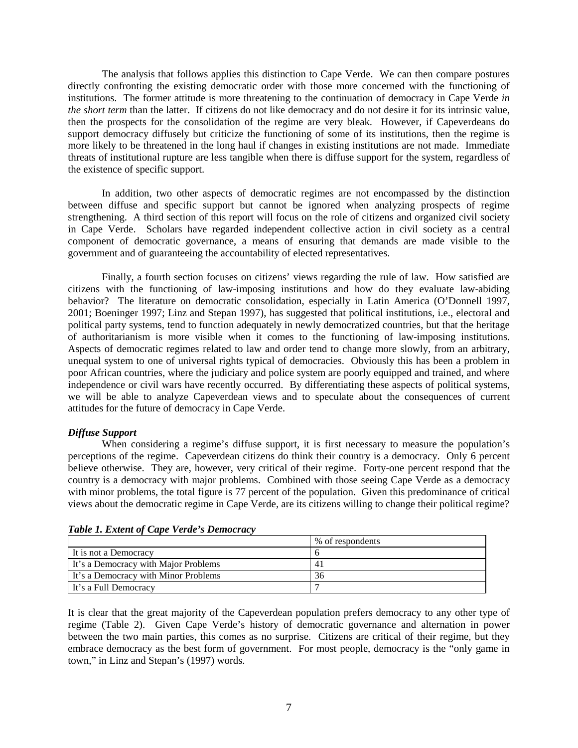The analysis that follows applies this distinction to Cape Verde. We can then compare postures directly confronting the existing democratic order with those more concerned with the functioning of institutions. The former attitude is more threatening to the continuation of democracy in Cape Verde *in the short term* than the latter. If citizens do not like democracy and do not desire it for its intrinsic value, then the prospects for the consolidation of the regime are very bleak. However, if Capeverdeans do support democracy diffusely but criticize the functioning of some of its institutions, then the regime is more likely to be threatened in the long haul if changes in existing institutions are not made. Immediate threats of institutional rupture are less tangible when there is diffuse support for the system, regardless of the existence of specific support.

 In addition, two other aspects of democratic regimes are not encompassed by the distinction between diffuse and specific support but cannot be ignored when analyzing prospects of regime strengthening. A third section of this report will focus on the role of citizens and organized civil society in Cape Verde. Scholars have regarded independent collective action in civil society as a central component of democratic governance, a means of ensuring that demands are made visible to the government and of guaranteeing the accountability of elected representatives.

Finally, a fourth section focuses on citizens' views regarding the rule of law. How satisfied are citizens with the functioning of law-imposing institutions and how do they evaluate law-abiding behavior? The literature on democratic consolidation, especially in Latin America (O'Donnell 1997, 2001; Boeninger 1997; Linz and Stepan 1997), has suggested that political institutions, i.e., electoral and political party systems, tend to function adequately in newly democratized countries, but that the heritage of authoritarianism is more visible when it comes to the functioning of law-imposing institutions. Aspects of democratic regimes related to law and order tend to change more slowly, from an arbitrary, unequal system to one of universal rights typical of democracies. Obviously this has been a problem in poor African countries, where the judiciary and police system are poorly equipped and trained, and where independence or civil wars have recently occurred. By differentiating these aspects of political systems, we will be able to analyze Capeverdean views and to speculate about the consequences of current attitudes for the future of democracy in Cape Verde.

## *Diffuse Support*

When considering a regime's diffuse support, it is first necessary to measure the population's perceptions of the regime. Capeverdean citizens do think their country is a democracy. Only 6 percent believe otherwise. They are, however, very critical of their regime. Forty-one percent respond that the country is a democracy with major problems. Combined with those seeing Cape Verde as a democracy with minor problems, the total figure is 77 percent of the population. Given this predominance of critical views about the democratic regime in Cape Verde, are its citizens willing to change their political regime?

|                                      | % of respondents |
|--------------------------------------|------------------|
| It is not a Democracy                |                  |
| It's a Democracy with Major Problems | 4                |
| It's a Democracy with Minor Problems | 36               |
| It's a Full Democracy                |                  |

*Table 1. Extent of Cape Verde's Democracy* 

It is clear that the great majority of the Capeverdean population prefers democracy to any other type of regime (Table 2). Given Cape Verde's history of democratic governance and alternation in power between the two main parties, this comes as no surprise. Citizens are critical of their regime, but they embrace democracy as the best form of government. For most people, democracy is the "only game in town," in Linz and Stepan's (1997) words.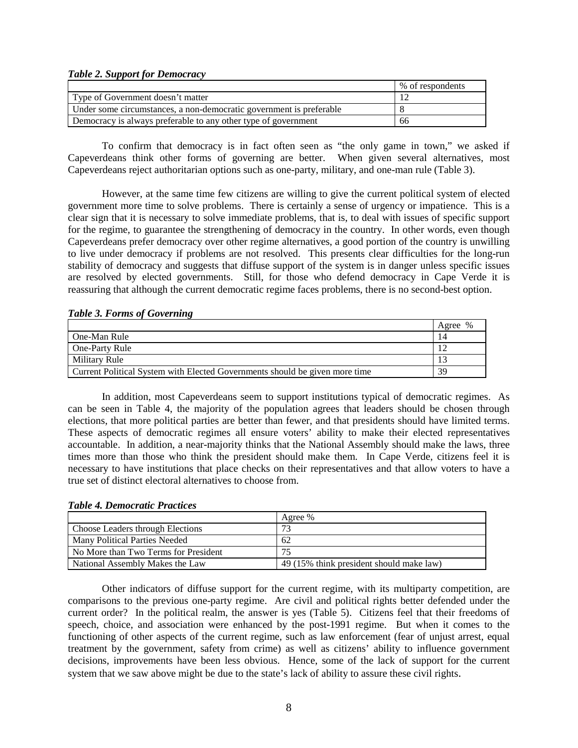*Table 2. Support for Democracy* 

|                                                                     | % of respondents |
|---------------------------------------------------------------------|------------------|
| Type of Government doesn't matter                                   |                  |
| Under some circumstances, a non-democratic government is preferable |                  |
| Democracy is always preferable to any other type of government      | 66               |

To confirm that democracy is in fact often seen as "the only game in town," we asked if Capeverdeans think other forms of governing are better. When given several alternatives, most Capeverdeans reject authoritarian options such as one-party, military, and one-man rule (Table 3).

However, at the same time few citizens are willing to give the current political system of elected government more time to solve problems. There is certainly a sense of urgency or impatience. This is a clear sign that it is necessary to solve immediate problems, that is, to deal with issues of specific support for the regime, to guarantee the strengthening of democracy in the country. In other words, even though Capeverdeans prefer democracy over other regime alternatives, a good portion of the country is unwilling to live under democracy if problems are not resolved. This presents clear difficulties for the long-run stability of democracy and suggests that diffuse support of the system is in danger unless specific issues are resolved by elected governments. Still, for those who defend democracy in Cape Verde it is reassuring that although the current democratic regime faces problems, there is no second-best option.

### *Table 3. Forms of Governing*

|                                                                             | Agree % |
|-----------------------------------------------------------------------------|---------|
| One-Man Rule                                                                | 14      |
| One-Party Rule                                                              |         |
| Military Rule                                                               |         |
| Current Political System with Elected Governments should be given more time | 39      |

In addition, most Capeverdeans seem to support institutions typical of democratic regimes. As can be seen in Table 4, the majority of the population agrees that leaders should be chosen through elections, that more political parties are better than fewer, and that presidents should have limited terms. These aspects of democratic regimes all ensure voters' ability to make their elected representatives accountable. In addition, a near-majority thinks that the National Assembly should make the laws, three times more than those who think the president should make them. In Cape Verde, citizens feel it is necessary to have institutions that place checks on their representatives and that allow voters to have a true set of distinct electoral alternatives to choose from.

#### *Table 4. Democratic Practices*

|                                      | Agree %                                  |
|--------------------------------------|------------------------------------------|
| Choose Leaders through Elections     | 73                                       |
| Many Political Parties Needed        | 62                                       |
| No More than Two Terms for President | 75                                       |
| National Assembly Makes the Law      | 49 (15% think president should make law) |

Other indicators of diffuse support for the current regime, with its multiparty competition, are comparisons to the previous one-party regime. Are civil and political rights better defended under the current order? In the political realm, the answer is yes (Table 5). Citizens feel that their freedoms of speech, choice, and association were enhanced by the post-1991 regime. But when it comes to the functioning of other aspects of the current regime, such as law enforcement (fear of unjust arrest, equal treatment by the government, safety from crime) as well as citizens' ability to influence government decisions, improvements have been less obvious. Hence, some of the lack of support for the current system that we saw above might be due to the state's lack of ability to assure these civil rights.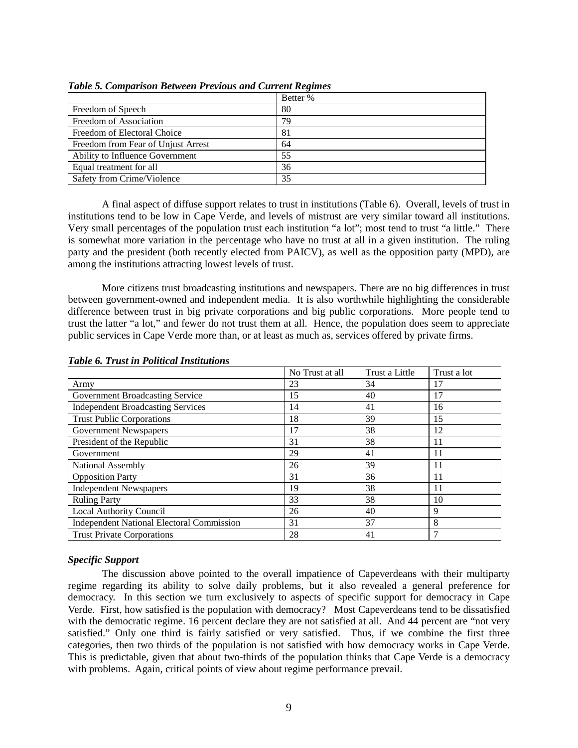|                                    | Better % |
|------------------------------------|----------|
| Freedom of Speech                  | 80       |
| Freedom of Association             | 79       |
| Freedom of Electoral Choice        | 81       |
| Freedom from Fear of Unjust Arrest | 64       |
| Ability to Influence Government    | 55       |
| Equal treatment for all            | 36       |
| Safety from Crime/Violence         | 35       |

*Table 5. Comparison Between Previous and Current Regimes* 

A final aspect of diffuse support relates to trust in institutions (Table 6). Overall, levels of trust in institutions tend to be low in Cape Verde, and levels of mistrust are very similar toward all institutions. Very small percentages of the population trust each institution "a lot"; most tend to trust "a little." There is somewhat more variation in the percentage who have no trust at all in a given institution. The ruling party and the president (both recently elected from PAICV), as well as the opposition party (MPD), are among the institutions attracting lowest levels of trust.

More citizens trust broadcasting institutions and newspapers. There are no big differences in trust between government-owned and independent media. It is also worthwhile highlighting the considerable difference between trust in big private corporations and big public corporations. More people tend to trust the latter "a lot," and fewer do not trust them at all. Hence, the population does seem to appreciate public services in Cape Verde more than, or at least as much as, services offered by private firms.

|                                                  | No Trust at all | Trust a Little | Trust a lot |
|--------------------------------------------------|-----------------|----------------|-------------|
| Army                                             | 23              | 34             | 17          |
| Government Broadcasting Service                  | 15              | 40             | 17          |
| <b>Independent Broadcasting Services</b>         | 14              | 41             | 16          |
| <b>Trust Public Corporations</b>                 | 18              | 39             | 15          |
| <b>Government Newspapers</b>                     | 17              | 38             | 12          |
| President of the Republic                        | 31              | 38             | 11          |
| Government                                       | 29              | 41             | 11          |
| National Assembly                                | 26              | 39             | 11          |
| <b>Opposition Party</b>                          | 31              | 36             | 11          |
| <b>Independent Newspapers</b>                    | 19              | 38             | 11          |
| <b>Ruling Party</b>                              | 33              | 38             | 10          |
| Local Authority Council                          | 26              | 40             | 9           |
| <b>Independent National Electoral Commission</b> | 31              | 37             | 8           |
| <b>Trust Private Corporations</b>                | 28              | 41             |             |

#### *Table 6. Trust in Political Institutions*

## *Specific Support*

The discussion above pointed to the overall impatience of Capeverdeans with their multiparty regime regarding its ability to solve daily problems, but it also revealed a general preference for democracy. In this section we turn exclusively to aspects of specific support for democracy in Cape Verde. First, how satisfied is the population with democracy? Most Capeverdeans tend to be dissatisfied with the democratic regime. 16 percent declare they are not satisfied at all. And 44 percent are "not very satisfied." Only one third is fairly satisfied or very satisfied. Thus, if we combine the first three categories, then two thirds of the population is not satisfied with how democracy works in Cape Verde. This is predictable, given that about two-thirds of the population thinks that Cape Verde is a democracy with problems. Again, critical points of view about regime performance prevail.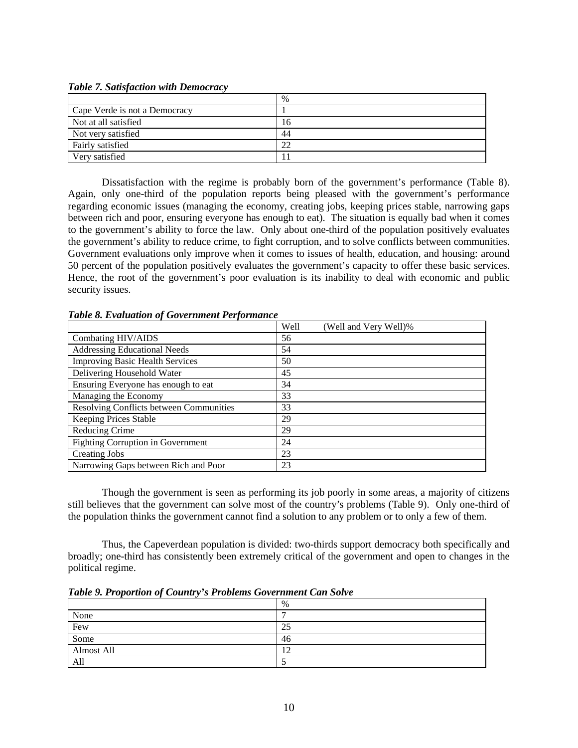| <b>Table 7. Satisfaction with Democracy</b> |               |  |
|---------------------------------------------|---------------|--|
|                                             | $\frac{0}{0}$ |  |
| Cape Verde is not a Democracy               |               |  |
| Not at all satisfied                        | 16            |  |
| Not very satisfied                          | 44            |  |
| Fairly satisfied                            | 22            |  |
| Very satisfied                              |               |  |

Dissatisfaction with the regime is probably born of the government's performance (Table 8). Again, only one-third of the population reports being pleased with the government's performance regarding economic issues (managing the economy, creating jobs, keeping prices stable, narrowing gaps between rich and poor, ensuring everyone has enough to eat). The situation is equally bad when it comes to the government's ability to force the law. Only about one-third of the population positively evaluates the government's ability to reduce crime, to fight corruption, and to solve conflicts between communities. Government evaluations only improve when it comes to issues of health, education, and housing: around 50 percent of the population positively evaluates the government's capacity to offer these basic services. Hence, the root of the government's poor evaluation is its inability to deal with economic and public security issues.

|                                          | Well<br>(Well and Very Well)% |
|------------------------------------------|-------------------------------|
| Combating HIV/AIDS                       | 56                            |
| <b>Addressing Educational Needs</b>      | 54                            |
| <b>Improving Basic Health Services</b>   | 50                            |
| Delivering Household Water               | 45                            |
| Ensuring Everyone has enough to eat      | 34                            |
| Managing the Economy                     | 33                            |
| Resolving Conflicts between Communities  | 33                            |
| <b>Keeping Prices Stable</b>             | 29                            |
| Reducing Crime                           | 29                            |
| <b>Fighting Corruption in Government</b> | 24                            |
| <b>Creating Jobs</b>                     | 23                            |
| Narrowing Gaps between Rich and Poor     | 23                            |

*Table 8. Evaluation of Government Performance* 

Though the government is seen as performing its job poorly in some areas, a majority of citizens still believes that the government can solve most of the country's problems (Table 9). Only one-third of the population thinks the government cannot find a solution to any problem or to only a few of them.

Thus, the Capeverdean population is divided: two-thirds support democracy both specifically and broadly; one-third has consistently been extremely critical of the government and open to changes in the political regime.

| Table 9. Proportion of Country's Problems Government Can Solve |  |
|----------------------------------------------------------------|--|
|----------------------------------------------------------------|--|

|              | $\%$                     |
|--------------|--------------------------|
| None         |                          |
| Few          | 25                       |
| ----<br>Some | 46                       |
| Almost All   | $\sqrt{2}$               |
| All          | $\overline{\phantom{0}}$ |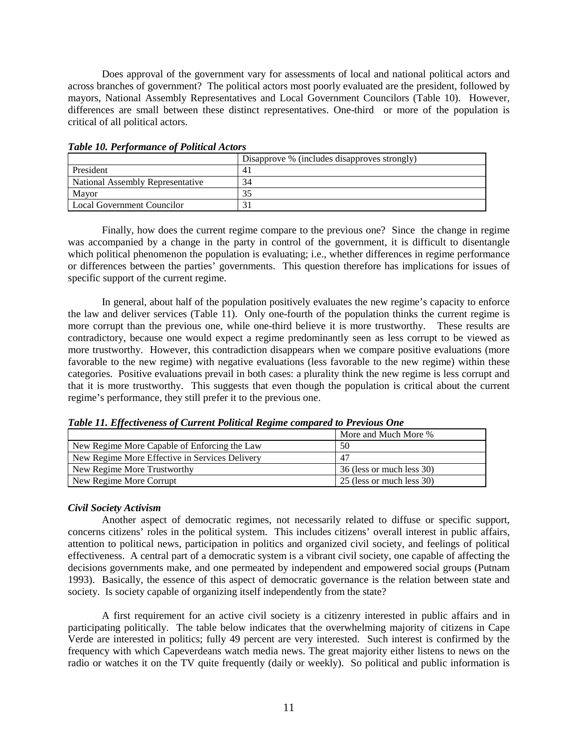Does approval of the government vary for assessments of local and national political actors and across branches of government? The political actors most poorly evaluated are the president, followed by mayors, National Assembly Representatives and Local Government Councilors (Table 10). However, differences are small between these distinct representatives. One-third or more of the population is critical of all political actors.

|                                  | Disapprove % (includes disapproves strongly) |
|----------------------------------|----------------------------------------------|
| President                        |                                              |
| National Assembly Representative | 34                                           |
| Mayor                            |                                              |
| Local Government Councilor       |                                              |

*Table 10. Performance of Political Actors* 

Finally, how does the current regime compare to the previous one? Since the change in regime was accompanied by a change in the party in control of the government, it is difficult to disentangle which political phenomenon the population is evaluating; i.e., whether differences in regime performance or differences between the parties' governments. This question therefore has implications for issues of specific support of the current regime.

 In general, about half of the population positively evaluates the new regime's capacity to enforce the law and deliver services (Table 11). Only one-fourth of the population thinks the current regime is more corrupt than the previous one, while one-third believe it is more trustworthy. These results are contradictory, because one would expect a regime predominantly seen as less corrupt to be viewed as more trustworthy. However, this contradiction disappears when we compare positive evaluations (more favorable to the new regime) with negative evaluations (less favorable to the new regime) within these categories. Positive evaluations prevail in both cases: a plurality think the new regime is less corrupt and that it is more trustworthy. This suggests that even though the population is critical about the current regime's performance, they still prefer it to the previous one.

| Twore III Effective cheese of Carl ene I chineme Iteganice compared to I reflected Once |                           |  |
|-----------------------------------------------------------------------------------------|---------------------------|--|
|                                                                                         | More and Much More %      |  |
| New Regime More Capable of Enforcing the Law                                            | 50                        |  |
| New Regime More Effective in Services Delivery                                          | -47                       |  |
| New Regime More Trustworthy                                                             | 36 (less or much less 30) |  |
| New Regime More Corrupt                                                                 | 25 (less or much less 30) |  |

*Table 11. Effectiveness of Current Political Regime compared to Previous One* 

## *Civil Society Activism*

Another aspect of democratic regimes, not necessarily related to diffuse or specific support, concerns citizens' roles in the political system. This includes citizens' overall interest in public affairs, attention to political news, participation in politics and organized civil society, and feelings of political effectiveness. A central part of a democratic system is a vibrant civil society, one capable of affecting the decisions governments make, and one permeated by independent and empowered social groups (Putnam 1993). Basically, the essence of this aspect of democratic governance is the relation between state and society. Is society capable of organizing itself independently from the state?

A first requirement for an active civil society is a citizenry interested in public affairs and in participating politically. The table below indicates that the overwhelming majority of citizens in Cape Verde are interested in politics; fully 49 percent are very interested. Such interest is confirmed by the frequency with which Capeverdeans watch media news. The great majority either listens to news on the radio or watches it on the TV quite frequently (daily or weekly). So political and public information is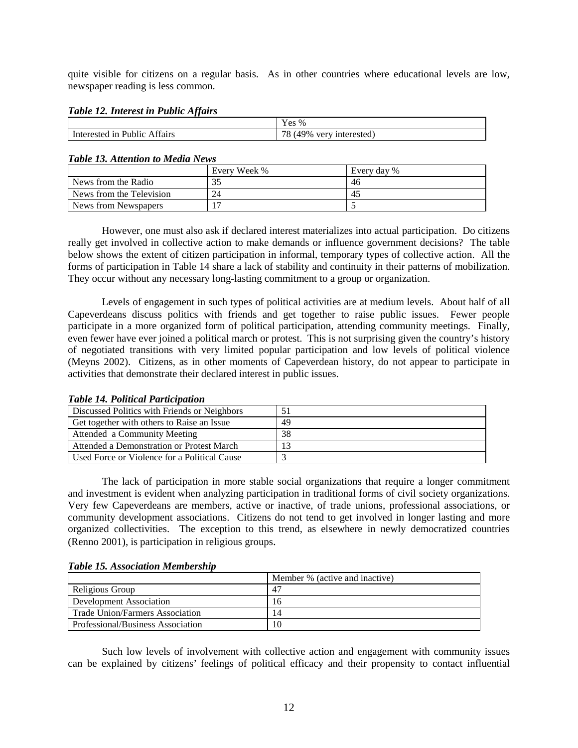quite visible for citizens on a regular basis. As in other countries where educational levels are low, newspaper reading is less common.

## *Table 12. Interest in Public Affairs*

|               | $ -$<br>$\sim$<br>Yes % |
|---------------|-------------------------|
| $\sim$        | (49%)                   |
| Public        | 70                      |
| Attairs       | very interested)        |
| Interested in | $^{\circ}$ O            |

#### *Table 13. Attention to Media News*

|                          | Every Week % | Every day % |
|--------------------------|--------------|-------------|
| News from the Radio      |              | 46          |
| News from the Television | 24           | 45          |
| News from Newspapers     |              |             |

However, one must also ask if declared interest materializes into actual participation. Do citizens really get involved in collective action to make demands or influence government decisions? The table below shows the extent of citizen participation in informal, temporary types of collective action. All the forms of participation in Table 14 share a lack of stability and continuity in their patterns of mobilization. They occur without any necessary long-lasting commitment to a group or organization.

 Levels of engagement in such types of political activities are at medium levels. About half of all Capeverdeans discuss politics with friends and get together to raise public issues. Fewer people participate in a more organized form of political participation, attending community meetings. Finally, even fewer have ever joined a political march or protest. This is not surprising given the country's history of negotiated transitions with very limited popular participation and low levels of political violence (Meyns 2002). Citizens, as in other moments of Capeverdean history, do not appear to participate in activities that demonstrate their declared interest in public issues.

| Discussed Politics with Friends or Neighbors |    |
|----------------------------------------------|----|
| Get together with others to Raise an Issue   | 49 |
| Attended a Community Meeting                 | 38 |
| Attended a Demonstration or Protest March    |    |
| Used Force or Violence for a Political Cause |    |

#### *Table 14. Political Participation*

The lack of participation in more stable social organizations that require a longer commitment and investment is evident when analyzing participation in traditional forms of civil society organizations. Very few Capeverdeans are members, active or inactive, of trade unions, professional associations, or community development associations. Citizens do not tend to get involved in longer lasting and more organized collectivities. The exception to this trend, as elsewhere in newly democratized countries (Renno 2001), is participation in religious groups.

| <b>Table 15. Association Membership</b> |  |
|-----------------------------------------|--|
|-----------------------------------------|--|

|                                   | Member % (active and inactive) |
|-----------------------------------|--------------------------------|
| Religious Group                   | 47                             |
| Development Association           | 16                             |
| Trade Union/Farmers Association   | 14                             |
| Professional/Business Association | 10                             |

Such low levels of involvement with collective action and engagement with community issues can be explained by citizens' feelings of political efficacy and their propensity to contact influential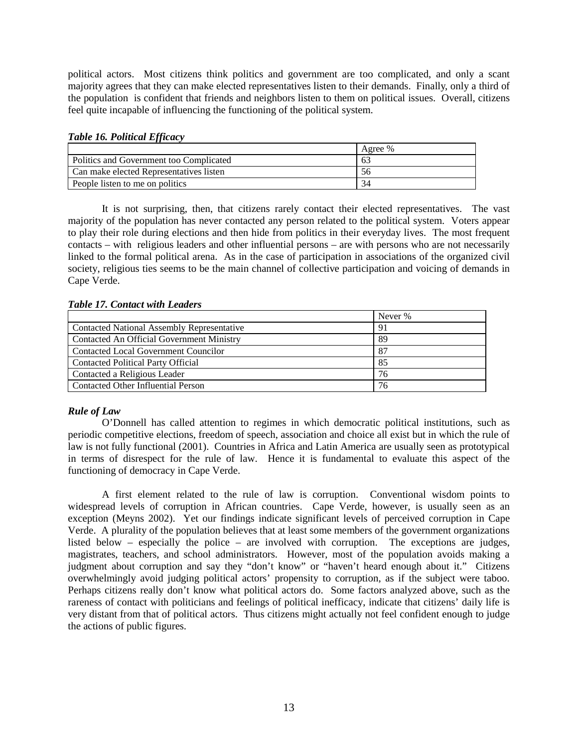political actors. Most citizens think politics and government are too complicated, and only a scant majority agrees that they can make elected representatives listen to their demands. Finally, only a third of the population is confident that friends and neighbors listen to them on political issues. Overall, citizens feel quite incapable of influencing the functioning of the political system.

## *Table 16. Political Efficacy*

|                                                | Agree % |
|------------------------------------------------|---------|
| <b>Politics and Government too Complicated</b> | 63      |
| Can make elected Representatives listen        |         |
| People listen to me on politics                | 54      |

It is not surprising, then, that citizens rarely contact their elected representatives. The vast majority of the population has never contacted any person related to the political system. Voters appear to play their role during elections and then hide from politics in their everyday lives. The most frequent contacts – with religious leaders and other influential persons – are with persons who are not necessarily linked to the formal political arena. As in the case of participation in associations of the organized civil society, religious ties seems to be the main channel of collective participation and voicing of demands in Cape Verde.

## *Table 17. Contact with Leaders*

|                                                   | Never % |
|---------------------------------------------------|---------|
| <b>Contacted National Assembly Representative</b> | 91      |
| Contacted An Official Government Ministry         | 89      |
| Contacted Local Government Councilor              | 87      |
| <b>Contacted Political Party Official</b>         | 85      |
| Contacted a Religious Leader                      | 76      |
| Contacted Other Influential Person                | 76      |

# *Rule of Law*

O'Donnell has called attention to regimes in which democratic political institutions, such as periodic competitive elections, freedom of speech, association and choice all exist but in which the rule of law is not fully functional (2001). Countries in Africa and Latin America are usually seen as prototypical in terms of disrespect for the rule of law. Hence it is fundamental to evaluate this aspect of the functioning of democracy in Cape Verde.

 A first element related to the rule of law is corruption. Conventional wisdom points to widespread levels of corruption in African countries. Cape Verde, however, is usually seen as an exception (Meyns 2002). Yet our findings indicate significant levels of perceived corruption in Cape Verde. A plurality of the population believes that at least some members of the government organizations listed below – especially the police – are involved with corruption. The exceptions are judges, magistrates, teachers, and school administrators. However, most of the population avoids making a judgment about corruption and say they "don't know" or "haven't heard enough about it." Citizens overwhelmingly avoid judging political actors' propensity to corruption, as if the subject were taboo. Perhaps citizens really don't know what political actors do. Some factors analyzed above, such as the rareness of contact with politicians and feelings of political inefficacy, indicate that citizens' daily life is very distant from that of political actors. Thus citizens might actually not feel confident enough to judge the actions of public figures.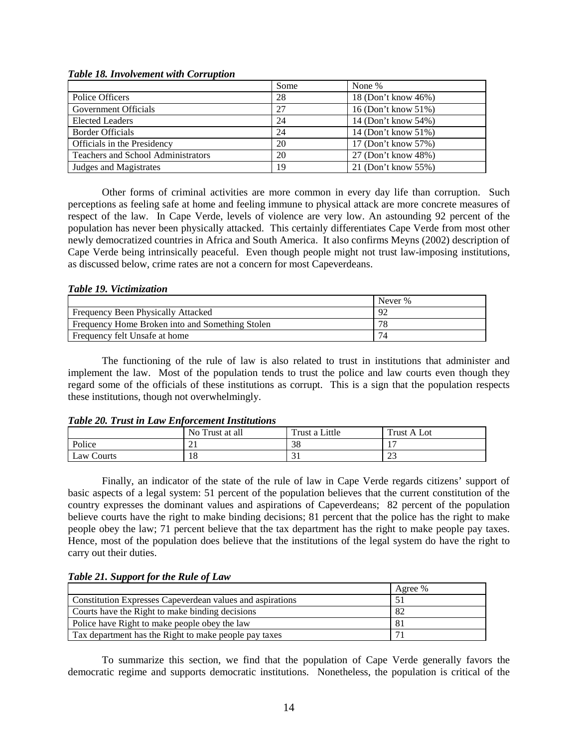|                                           | Some | None %              |
|-------------------------------------------|------|---------------------|
| Police Officers                           | 28   | 18 (Don't know 46%) |
| Government Officials                      | 27   | 16 (Don't know 51%) |
| <b>Elected Leaders</b>                    | 24   | 14 (Don't know 54%) |
| <b>Border Officials</b>                   | 24   | 14 (Don't know 51%) |
| Officials in the Presidency               | 20   | 17 (Don't know 57%) |
| <b>Teachers and School Administrators</b> | 20   | 27 (Don't know 48%) |
| Judges and Magistrates                    | 19   | 21 (Don't know 55%) |

#### *Table 18. Involvement with Corruption*

Other forms of criminal activities are more common in every day life than corruption. Such perceptions as feeling safe at home and feeling immune to physical attack are more concrete measures of respect of the law. In Cape Verde, levels of violence are very low. An astounding 92 percent of the population has never been physically attacked. This certainly differentiates Cape Verde from most other newly democratized countries in Africa and South America. It also confirms Meyns (2002) description of Cape Verde being intrinsically peaceful. Even though people might not trust law-imposing institutions, as discussed below, crime rates are not a concern for most Capeverdeans.

## *Table 19. Victimization*

|                                                 | Never % |
|-------------------------------------------------|---------|
| Frequency Been Physically Attacked              | 92      |
| Frequency Home Broken into and Something Stolen | 78      |
| Frequency felt Unsafe at home                   |         |

The functioning of the rule of law is also related to trust in institutions that administer and implement the law. Most of the population tends to trust the police and law courts even though they regard some of the officials of these institutions as corrupt. This is a sign that the population respects these institutions, though not overwhelmingly.

## *Table 20. Trust in Law Enforcement Institutions*

|            | No Trust at all | Trust a Little | <b>Trust A Lot</b> |
|------------|-----------------|----------------|--------------------|
| Police     | ∠⊥              | 38             | -                  |
| Law Courts | 18              | ◡              | ر ے                |

Finally, an indicator of the state of the rule of law in Cape Verde regards citizens' support of basic aspects of a legal system: 51 percent of the population believes that the current constitution of the country expresses the dominant values and aspirations of Capeverdeans; 82 percent of the population believe courts have the right to make binding decisions; 81 percent that the police has the right to make people obey the law; 71 percent believe that the tax department has the right to make people pay taxes. Hence, most of the population does believe that the institutions of the legal system do have the right to carry out their duties.

## *Table 21. Support for the Rule of Law*

|                                                           | Agree % |
|-----------------------------------------------------------|---------|
| Constitution Expresses Capeverdean values and aspirations |         |
| Courts have the Right to make binding decisions           | 82      |
| Police have Right to make people obey the law             |         |
| Tax department has the Right to make people pay taxes     |         |

To summarize this section, we find that the population of Cape Verde generally favors the democratic regime and supports democratic institutions. Nonetheless, the population is critical of the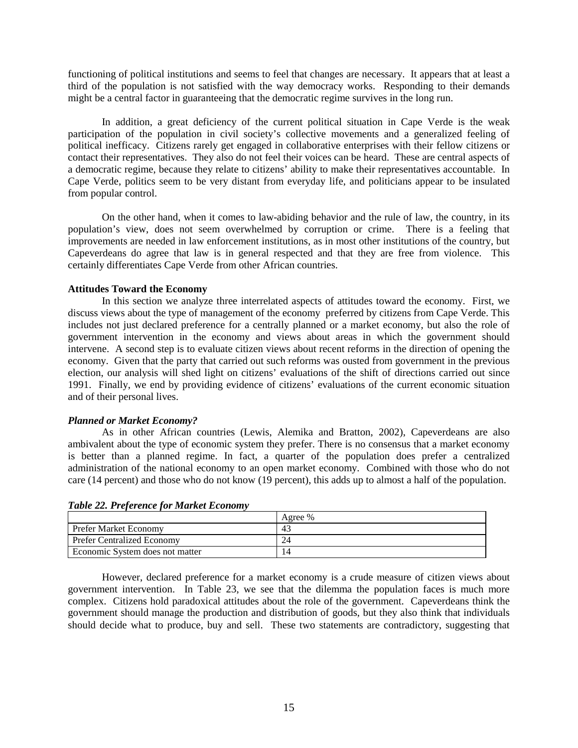functioning of political institutions and seems to feel that changes are necessary. It appears that at least a third of the population is not satisfied with the way democracy works. Responding to their demands might be a central factor in guaranteeing that the democratic regime survives in the long run.

In addition, a great deficiency of the current political situation in Cape Verde is the weak participation of the population in civil society's collective movements and a generalized feeling of political inefficacy. Citizens rarely get engaged in collaborative enterprises with their fellow citizens or contact their representatives. They also do not feel their voices can be heard. These are central aspects of a democratic regime, because they relate to citizens' ability to make their representatives accountable. In Cape Verde, politics seem to be very distant from everyday life, and politicians appear to be insulated from popular control.

 On the other hand, when it comes to law-abiding behavior and the rule of law, the country, in its population's view, does not seem overwhelmed by corruption or crime. There is a feeling that improvements are needed in law enforcement institutions, as in most other institutions of the country, but Capeverdeans do agree that law is in general respected and that they are free from violence. This certainly differentiates Cape Verde from other African countries.

### **Attitudes Toward the Economy**

In this section we analyze three interrelated aspects of attitudes toward the economy. First, we discuss views about the type of management of the economy preferred by citizens from Cape Verde. This includes not just declared preference for a centrally planned or a market economy, but also the role of government intervention in the economy and views about areas in which the government should intervene. A second step is to evaluate citizen views about recent reforms in the direction of opening the economy. Given that the party that carried out such reforms was ousted from government in the previous election, our analysis will shed light on citizens' evaluations of the shift of directions carried out since 1991. Finally, we end by providing evidence of citizens' evaluations of the current economic situation and of their personal lives.

#### *Planned or Market Economy?*

As in other African countries (Lewis, Alemika and Bratton, 2002), Capeverdeans are also ambivalent about the type of economic system they prefer. There is no consensus that a market economy is better than a planned regime. In fact, a quarter of the population does prefer a centralized administration of the national economy to an open market economy. Combined with those who do not care (14 percent) and those who do not know (19 percent), this adds up to almost a half of the population.

|                                   | Agree $%$ |
|-----------------------------------|-----------|
| Prefer Market Economy             | 43        |
| <b>Prefer Centralized Economy</b> |           |
| Economic System does not matter   |           |

*Table 22. Preference for Market Economy* 

However, declared preference for a market economy is a crude measure of citizen views about government intervention. In Table 23, we see that the dilemma the population faces is much more complex. Citizens hold paradoxical attitudes about the role of the government. Capeverdeans think the government should manage the production and distribution of goods, but they also think that individuals should decide what to produce, buy and sell. These two statements are contradictory, suggesting that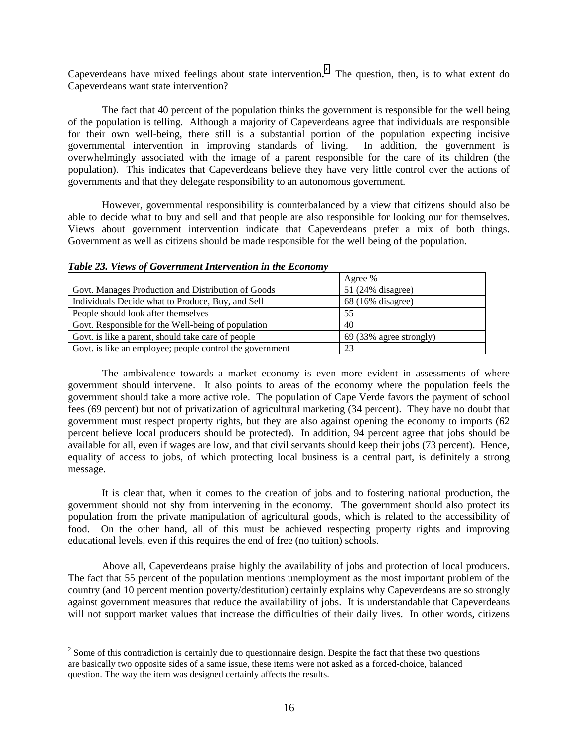Capeverdeans have mixed feelings about state intervention.<sup>2</sup> The question, then, is to what extent do Capeverdeans want state intervention?

The fact that 40 percent of the population thinks the government is responsible for the well being of the population is telling. Although a majority of Capeverdeans agree that individuals are responsible for their own well-being, there still is a substantial portion of the population expecting incisive governmental intervention in improving standards of living. In addition, the government is overwhelmingly associated with the image of a parent responsible for the care of its children (the population). This indicates that Capeverdeans believe they have very little control over the actions of governments and that they delegate responsibility to an autonomous government.

However, governmental responsibility is counterbalanced by a view that citizens should also be able to decide what to buy and sell and that people are also responsible for looking our for themselves. Views about government intervention indicate that Capeverdeans prefer a mix of both things. Government as well as citizens should be made responsible for the well being of the population.

|                                                          | Agree %                 |
|----------------------------------------------------------|-------------------------|
| Govt. Manages Production and Distribution of Goods       | 51 (24% disagree)       |
| Individuals Decide what to Produce, Buy, and Sell        | $68(16\%$ disagree)     |
| People should look after themselves                      | 55                      |
| Govt. Responsible for the Well-being of population       | 40                      |
| Govt. is like a parent, should take care of people       | 69 (33% agree strongly) |
| Govt. is like an employee; people control the government | 23                      |

*Table 23. Views of Government Intervention in the Economy* 

 $\overline{a}$ 

The ambivalence towards a market economy is even more evident in assessments of where government should intervene. It also points to areas of the economy where the population feels the government should take a more active role. The population of Cape Verde favors the payment of school fees (69 percent) but not of privatization of agricultural marketing (34 percent). They have no doubt that government must respect property rights, but they are also against opening the economy to imports (62 percent believe local producers should be protected). In addition, 94 percent agree that jobs should be available for all, even if wages are low, and that civil servants should keep their jobs (73 percent). Hence, equality of access to jobs, of which protecting local business is a central part, is definitely a strong message.

 It is clear that, when it comes to the creation of jobs and to fostering national production, the government should not shy from intervening in the economy. The government should also protect its population from the private manipulation of agricultural goods, which is related to the accessibility of food. On the other hand, all of this must be achieved respecting property rights and improving educational levels, even if this requires the end of free (no tuition) schools.

Above all, Capeverdeans praise highly the availability of jobs and protection of local producers. The fact that 55 percent of the population mentions unemployment as the most important problem of the country (and 10 percent mention poverty/destitution) certainly explains why Capeverdeans are so strongly against government measures that reduce the availability of jobs. It is understandable that Capeverdeans will not support market values that increase the difficulties of their daily lives. In other words, citizens

 $2^{2}$  Some of this contradiction is certainly due to questionnaire design. Despite the fact that these two questions are basically two opposite sides of a same issue, these items were not asked as a forced-choice, balanced question. The way the item was designed certainly affects the results.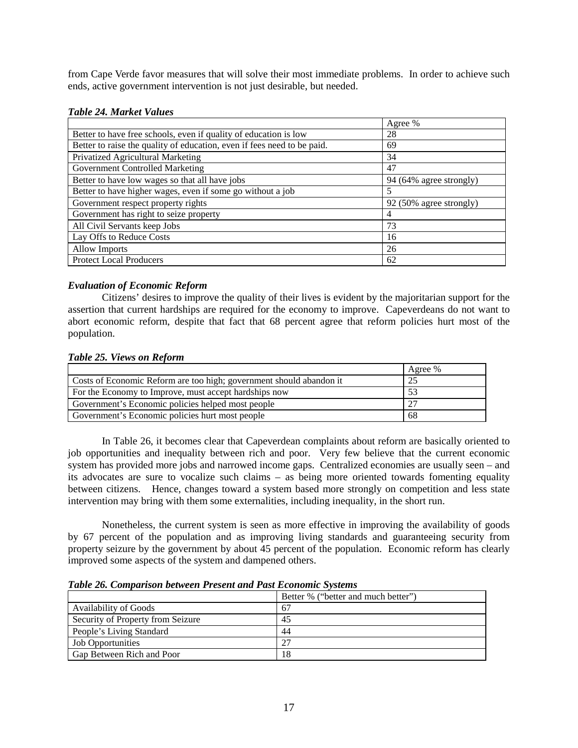from Cape Verde favor measures that will solve their most immediate problems. In order to achieve such ends, active government intervention is not just desirable, but needed.

## *Table 24. Market Values*

|                                                                         | Agree %                 |
|-------------------------------------------------------------------------|-------------------------|
| Better to have free schools, even if quality of education is low        | 28                      |
| Better to raise the quality of education, even if fees need to be paid. | 69                      |
| Privatized Agricultural Marketing                                       | 34                      |
| <b>Government Controlled Marketing</b>                                  | 47                      |
| Better to have low wages so that all have jobs                          | 94 (64% agree strongly) |
| Better to have higher wages, even if some go without a job              | 5                       |
| Government respect property rights                                      | 92 (50% agree strongly) |
| Government has right to seize property                                  | 4                       |
| All Civil Servants keep Jobs                                            | 73                      |
| Lay Offs to Reduce Costs                                                | 16                      |
| <b>Allow Imports</b>                                                    | 26                      |
| <b>Protect Local Producers</b>                                          | 62                      |

## *Evaluation of Economic Reform*

 Citizens' desires to improve the quality of their lives is evident by the majoritarian support for the assertion that current hardships are required for the economy to improve. Capeverdeans do not want to abort economic reform, despite that fact that 68 percent agree that reform policies hurt most of the population.

#### *Table 25. Views on Reform*

|                                                                     | Agree % |
|---------------------------------------------------------------------|---------|
| Costs of Economic Reform are too high; government should abandon it |         |
| For the Economy to Improve, must accept hardships now               | 53      |
| Government's Economic policies helped most people                   |         |
| Government's Economic policies hurt most people                     | 68      |

In Table 26, it becomes clear that Capeverdean complaints about reform are basically oriented to job opportunities and inequality between rich and poor. Very few believe that the current economic system has provided more jobs and narrowed income gaps. Centralized economies are usually seen – and its advocates are sure to vocalize such claims – as being more oriented towards fomenting equality between citizens. Hence, changes toward a system based more strongly on competition and less state intervention may bring with them some externalities, including inequality, in the short run.

 Nonetheless, the current system is seen as more effective in improving the availability of goods by 67 percent of the population and as improving living standards and guaranteeing security from property seizure by the government by about 45 percent of the population. Economic reform has clearly improved some aspects of the system and dampened others.

*Table 26. Comparison between Present and Past Economic Systems* 

|                                   | Better % ("better and much better") |  |
|-----------------------------------|-------------------------------------|--|
| <b>Availability of Goods</b>      | 67                                  |  |
| Security of Property from Seizure | 45                                  |  |
| People's Living Standard          | 44                                  |  |
| Job Opportunities                 | 27                                  |  |
| Gap Between Rich and Poor         | 18                                  |  |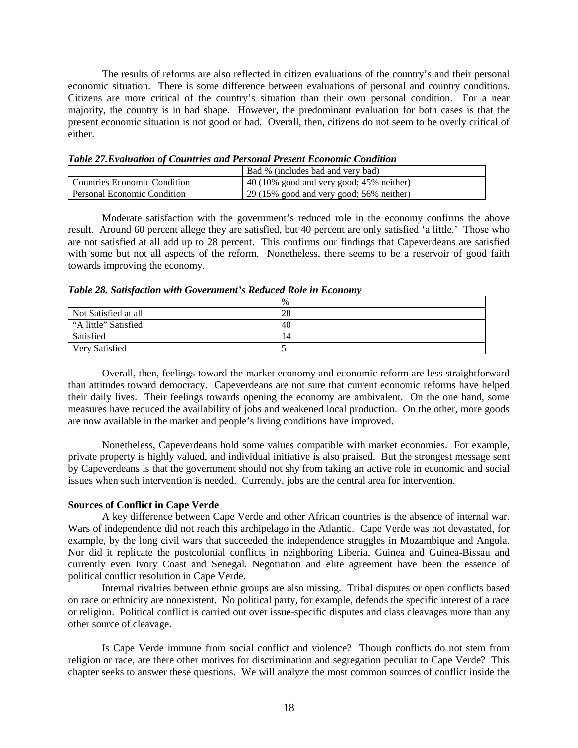The results of reforms are also reflected in citizen evaluations of the country's and their personal economic situation. There is some difference between evaluations of personal and country conditions. Citizens are more critical of the country's situation than their own personal condition. For a near majority, the country is in bad shape. However, the predominant evaluation for both cases is that the present economic situation is not good or bad. Overall, then, citizens do not seem to be overly critical of either.

*Table 27.Evaluation of Countries and Personal Present Economic Condition* 

|                              | Bad % (includes bad and very bad)                           |
|------------------------------|-------------------------------------------------------------|
| Countries Economic Condition | $40(10\% \text{ good and very good}; 45\% \text{ neither})$ |
| Personal Economic Condition  | 29 (15% good and very good; 56% neither)                    |

Moderate satisfaction with the government's reduced role in the economy confirms the above result. Around 60 percent allege they are satisfied, but 40 percent are only satisfied 'a little.' Those who are not satisfied at all add up to 28 percent. This confirms our findings that Capeverdeans are satisfied with some but not all aspects of the reform. Nonetheless, there seems to be a reservoir of good faith towards improving the economy.

|                      | $\%$ |
|----------------------|------|
| Not Satisfied at all | 28   |
| "A little" Satisfied | 40   |
| Satisfied            | 4    |
| Very Satisfied       |      |

*Table 28. Satisfaction with Government's Reduced Role in Economy* 

Overall, then, feelings toward the market economy and economic reform are less straightforward than attitudes toward democracy. Capeverdeans are not sure that current economic reforms have helped their daily lives. Their feelings towards opening the economy are ambivalent. On the one hand, some measures have reduced the availability of jobs and weakened local production. On the other, more goods are now available in the market and people's living conditions have improved.

 Nonetheless, Capeverdeans hold some values compatible with market economies. For example, private property is highly valued, and individual initiative is also praised. But the strongest message sent by Capeverdeans is that the government should not shy from taking an active role in economic and social issues when such intervention is needed. Currently, jobs are the central area for intervention.

## **Sources of Conflict in Cape Verde**

A key difference between Cape Verde and other African countries is the absence of internal war. Wars of independence did not reach this archipelago in the Atlantic. Cape Verde was not devastated, for example, by the long civil wars that succeeded the independence struggles in Mozambique and Angola. Nor did it replicate the postcolonial conflicts in neighboring Liberia, Guinea and Guinea-Bissau and currently even Ivory Coast and Senegal. Negotiation and elite agreement have been the essence of political conflict resolution in Cape Verde.

Internal rivalries between ethnic groups are also missing. Tribal disputes or open conflicts based on race or ethnicity are nonexistent. No political party, for example, defends the specific interest of a race or religion. Political conflict is carried out over issue-specific disputes and class cleavages more than any other source of cleavage.

Is Cape Verde immune from social conflict and violence? Though conflicts do not stem from religion or race, are there other motives for discrimination and segregation peculiar to Cape Verde? This chapter seeks to answer these questions. We will analyze the most common sources of conflict inside the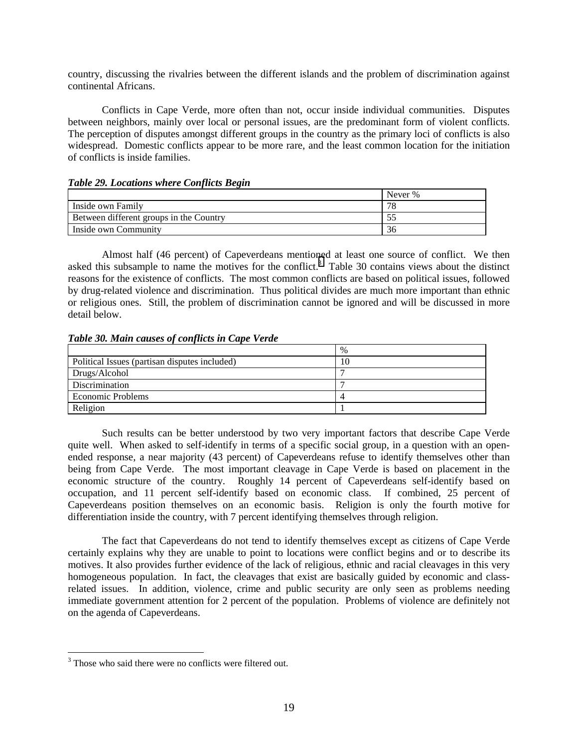country, discussing the rivalries between the different islands and the problem of discrimination against continental Africans.

Conflicts in Cape Verde, more often than not, occur inside individual communities. Disputes between neighbors, mainly over local or personal issues, are the predominant form of violent conflicts. The perception of disputes amongst different groups in the country as the primary loci of conflicts is also widespread. Domestic conflicts appear to be more rare, and the least common location for the initiation of conflicts is inside families.

|                                         | Never % |
|-----------------------------------------|---------|
| Inside own Family                       |         |
| Between different groups in the Country |         |
| Inside own Community                    | 30      |

Almost half (46 percent) of Capeverdeans mentioned at least one source of conflict. We then asked this subsample to name the motives for the conflict.<sup>3</sup> Table 30 contains views about the distinct reasons for the existence of conflicts. The most common conflicts are based on political issues, followed by drug-related violence and discrimination. Thus political divides are much more important than ethnic or religious ones. Still, the problem of discrimination cannot be ignored and will be discussed in more detail below.

*Table 30. Main causes of conflicts in Cape Verde* 

|                                               | $\%$ |
|-----------------------------------------------|------|
| Political Issues (partisan disputes included) |      |
| Drugs/Alcohol                                 |      |
| Discrimination                                |      |
| Economic Problems                             |      |
| Religion                                      |      |

Such results can be better understood by two very important factors that describe Cape Verde quite well. When asked to self-identify in terms of a specific social group, in a question with an openended response, a near majority (43 percent) of Capeverdeans refuse to identify themselves other than being from Cape Verde. The most important cleavage in Cape Verde is based on placement in the economic structure of the country. Roughly 14 percent of Capeverdeans self-identify based on occupation, and 11 percent self-identify based on economic class. If combined, 25 percent of Capeverdeans position themselves on an economic basis. Religion is only the fourth motive for differentiation inside the country, with 7 percent identifying themselves through religion.

 The fact that Capeverdeans do not tend to identify themselves except as citizens of Cape Verde certainly explains why they are unable to point to locations were conflict begins and or to describe its motives. It also provides further evidence of the lack of religious, ethnic and racial cleavages in this very homogeneous population. In fact, the cleavages that exist are basically guided by economic and classrelated issues. In addition, violence, crime and public security are only seen as problems needing immediate government attention for 2 percent of the population. Problems of violence are definitely not on the agenda of Capeverdeans.

<sup>&</sup>lt;sup>3</sup> Those who said there were no conflicts were filtered out.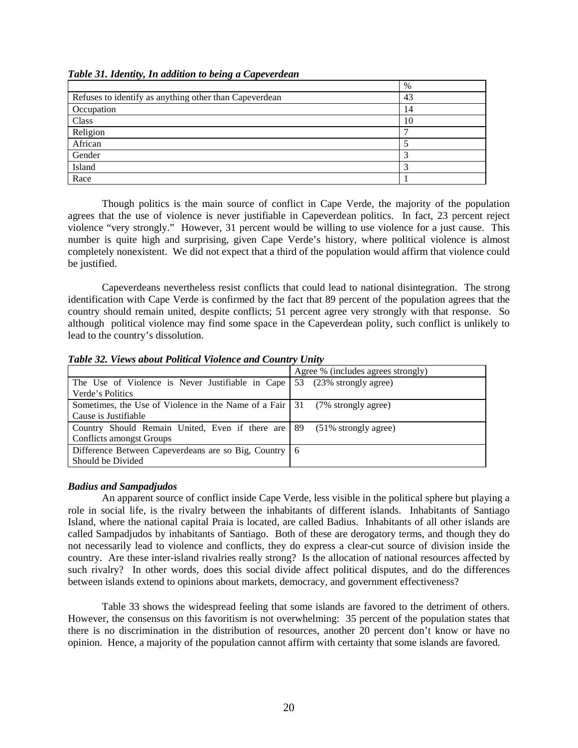*Table 31. Identity, In addition to being a Capeverdean* 

|                                                        | %  |
|--------------------------------------------------------|----|
| Refuses to identify as anything other than Capeverdean | 43 |
| Occupation                                             | 14 |
| Class                                                  | 10 |
| Religion                                               |    |
| African                                                |    |
| Gender                                                 |    |
| Island                                                 |    |
| Race                                                   |    |

Though politics is the main source of conflict in Cape Verde, the majority of the population agrees that the use of violence is never justifiable in Capeverdean politics. In fact, 23 percent reject violence "very strongly." However, 31 percent would be willing to use violence for a just cause. This number is quite high and surprising, given Cape Verde's history, where political violence is almost completely nonexistent. We did not expect that a third of the population would affirm that violence could be justified.

Capeverdeans nevertheless resist conflicts that could lead to national disintegration. The strong identification with Cape Verde is confirmed by the fact that 89 percent of the population agrees that the country should remain united, despite conflicts; 51 percent agree very strongly with that response. So although political violence may find some space in the Capeverdean polity, such conflict is unlikely to lead to the country's dissolution.

|                                                                                         | Agree % (includes agrees strongly) |
|-----------------------------------------------------------------------------------------|------------------------------------|
| The Use of Violence is Never Justifiable in Cape $\frac{53}{23\%}$ (23% strongly agree) |                                    |
| Verde's Politics                                                                        |                                    |
| Sometimes, the Use of Violence in the Name of a Fair 31 (7% strongly agree)             |                                    |
| Cause is Justifiable                                                                    |                                    |
| Country Should Remain United, Even if there are 89 (51% strongly agree)                 |                                    |
| Conflicts amongst Groups                                                                |                                    |
| Difference Between Capeverdeans are so Big, Country   6                                 |                                    |
| Should be Divided                                                                       |                                    |

*Table 32. Views about Political Violence and Country Unity* 

## *Badius and Sampadjudos*

An apparent source of conflict inside Cape Verde, less visible in the political sphere but playing a role in social life, is the rivalry between the inhabitants of different islands. Inhabitants of Santiago Island, where the national capital Praia is located, are called Badius. Inhabitants of all other islands are called Sampadjudos by inhabitants of Santiago. Both of these are derogatory terms, and though they do not necessarily lead to violence and conflicts, they do express a clear-cut source of division inside the country. Are these inter-island rivalries really strong? Is the allocation of national resources affected by such rivalry? In other words, does this social divide affect political disputes, and do the differences between islands extend to opinions about markets, democracy, and government effectiveness?

Table 33 shows the widespread feeling that some islands are favored to the detriment of others. However, the consensus on this favoritism is not overwhelming: 35 percent of the population states that there is no discrimination in the distribution of resources, another 20 percent don't know or have no opinion. Hence, a majority of the population cannot affirm with certainty that some islands are favored.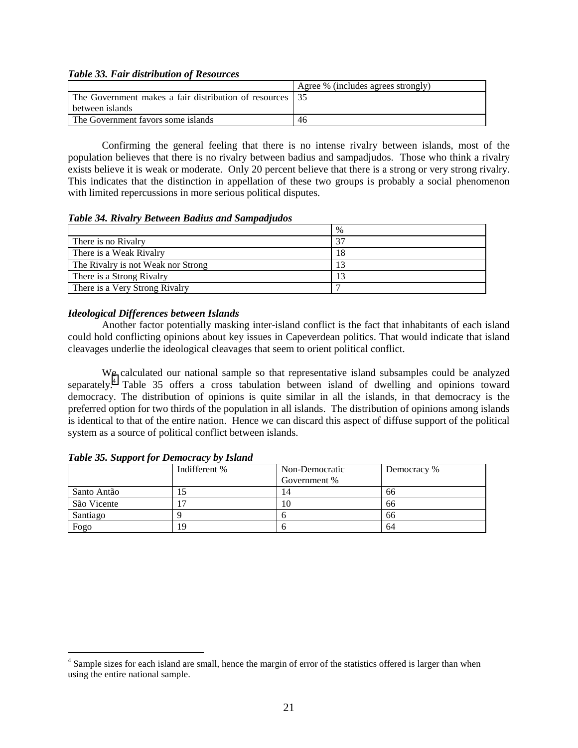|  |  |  | <b>Table 33. Fair distribution of Resources</b> |
|--|--|--|-------------------------------------------------|
|--|--|--|-------------------------------------------------|

|                                                            | Agree % (includes agrees strongly) |
|------------------------------------------------------------|------------------------------------|
| The Government makes a fair distribution of resources 1 35 |                                    |
| between islands                                            |                                    |
| The Government favors some islands                         | 46                                 |

Confirming the general feeling that there is no intense rivalry between islands, most of the population believes that there is no rivalry between badius and sampadjudos. Those who think a rivalry exists believe it is weak or moderate. Only 20 percent believe that there is a strong or very strong rivalry. This indicates that the distinction in appellation of these two groups is probably a social phenomenon with limited repercussions in more serious political disputes.

## *Table 34. Rivalry Between Badius and Sampadjudos*

|                                    | $\%$ |
|------------------------------------|------|
| There is no Rivalry                | 37   |
| There is a Weak Rivalry            | 18   |
| The Rivalry is not Weak nor Strong | 13   |
| There is a Strong Rivalry          | 13   |
| There is a Very Strong Rivalry     |      |

## *Ideological Differences between Islands*

Another factor potentially masking inter-island conflict is the fact that inhabitants of each island could hold conflicting opinions about key issues in Capeverdean politics. That would indicate that island cleavages underlie the ideological cleavages that seem to orient political conflict.

 We calculated our national sample so that representative island subsamples could be analyzed separately.<sup>4</sup> Table 35 offers a cross tabulation between island of dwelling and opinions toward democracy. The distribution of opinions is quite similar in all the islands, in that democracy is the preferred option for two thirds of the population in all islands. The distribution of opinions among islands is identical to that of the entire nation. Hence we can discard this aspect of diffuse support of the political system as a source of political conflict between islands.

|             | Indifferent % | Non-Democratic | Democracy % |
|-------------|---------------|----------------|-------------|
|             |               | Government %   |             |
| Santo Antão | IJ            | 14             | 66          |
| São Vicente | Ξ,            | 10             | 66          |
| Santiago    |               |                | 66          |
| Fogo        | 19            |                | 64          |

*Table 35. Support for Democracy by Island* 

 $\overline{a}$ 

<sup>&</sup>lt;sup>4</sup> Sample sizes for each island are small, hence the margin of error of the statistics offered is larger than when using the entire national sample.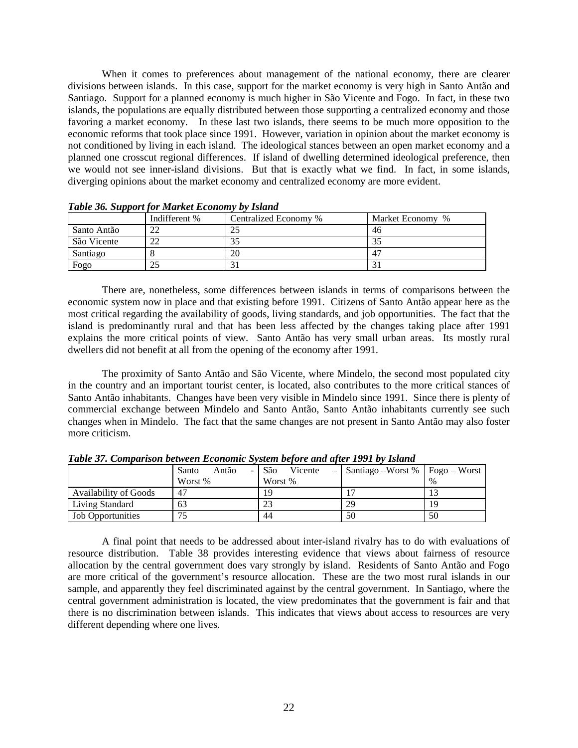When it comes to preferences about management of the national economy, there are clearer divisions between islands. In this case, support for the market economy is very high in Santo Antão and Santiago. Support for a planned economy is much higher in São Vicente and Fogo. In fact, in these two islands, the populations are equally distributed between those supporting a centralized economy and those favoring a market economy. In these last two islands, there seems to be much more opposition to the economic reforms that took place since 1991. However, variation in opinion about the market economy is not conditioned by living in each island. The ideological stances between an open market economy and a planned one crosscut regional differences. If island of dwelling determined ideological preference, then we would not see inner-island divisions. But that is exactly what we find. In fact, in some islands, diverging opinions about the market economy and centralized economy are more evident.

| $=$ we're $=$ 0.00 $\mu$ p 0.1 $\mu$ 0.1 $\mu$ = 0.000 $\mu$ = 0.000 $\mu$ = 0.000 $\mu$ |               |                       |                  |
|------------------------------------------------------------------------------------------|---------------|-----------------------|------------------|
|                                                                                          | Indifferent % | Centralized Economy % | Market Economy % |
| Santo Antão                                                                              |               |                       | 46               |
| São Vicente                                                                              |               |                       |                  |
| Santiago                                                                                 |               | 20                    |                  |
| Fogo                                                                                     |               |                       |                  |

*Table 36. Support for Market Economy by Island* 

There are, nonetheless, some differences between islands in terms of comparisons between the economic system now in place and that existing before 1991. Citizens of Santo Antão appear here as the most critical regarding the availability of goods, living standards, and job opportunities. The fact that the island is predominantly rural and that has been less affected by the changes taking place after 1991 explains the more critical points of view. Santo Antão has very small urban areas. Its mostly rural dwellers did not benefit at all from the opening of the economy after 1991.

The proximity of Santo Antão and São Vicente, where Mindelo, the second most populated city in the country and an important tourist center, is located, also contributes to the more critical stances of Santo Antão inhabitants. Changes have been very visible in Mindelo since 1991. Since there is plenty of commercial exchange between Mindelo and Santo Antão, Santo Antão inhabitants currently see such changes when in Mindelo. The fact that the same changes are not present in Santo Antão may also foster more criticism.

| Tubic 97, Comparison between Leonomae Dysiem before and after 1991 by Island |                |                 |                                       |      |  |
|------------------------------------------------------------------------------|----------------|-----------------|---------------------------------------|------|--|
|                                                                              | Antão<br>Santo | -São<br>Vicente | $-$ Santiago – Worst %   Fogo – Worst |      |  |
|                                                                              | Worst %        | Worst %         |                                       | $\%$ |  |
| Availability of Goods                                                        | -47            | 19              |                                       |      |  |
| Living Standard                                                              | 63             |                 | 29                                    |      |  |
| <b>Job Opportunities</b>                                                     | 75             | 44              | 50                                    | 50   |  |

*Table 37. Comparison between Economic System before and after 1991 by Island* 

A final point that needs to be addressed about inter-island rivalry has to do with evaluations of resource distribution. Table 38 provides interesting evidence that views about fairness of resource allocation by the central government does vary strongly by island. Residents of Santo Antão and Fogo are more critical of the government's resource allocation. These are the two most rural islands in our sample, and apparently they feel discriminated against by the central government. In Santiago, where the central government administration is located, the view predominates that the government is fair and that there is no discrimination between islands. This indicates that views about access to resources are very different depending where one lives.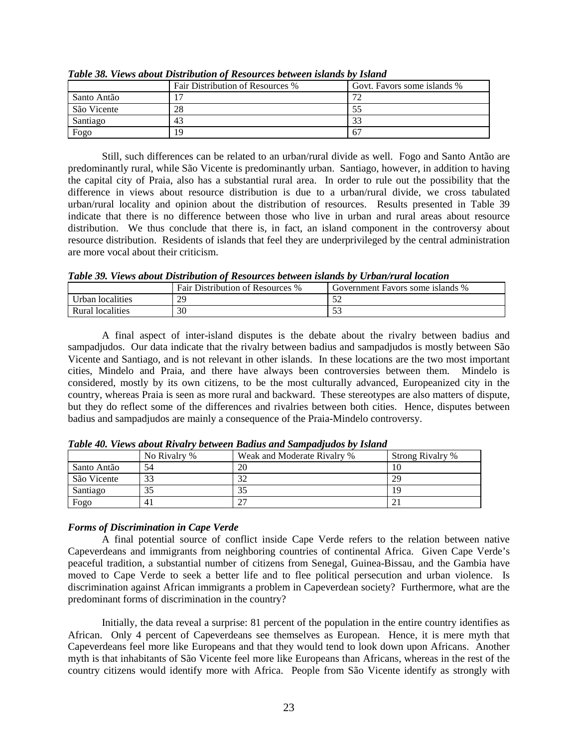|             | Fair Distribution of Resources % | Govt. Favors some islands % |
|-------------|----------------------------------|-----------------------------|
| Santo Antão |                                  |                             |
| São Vicente | 28                               |                             |
| Santiago    | 4:                               |                             |
| Fogo        |                                  |                             |

*Table 38. Views about Distribution of Resources between islands by Island* 

Still, such differences can be related to an urban/rural divide as well. Fogo and Santo Antão are predominantly rural, while São Vicente is predominantly urban. Santiago, however, in addition to having the capital city of Praia, also has a substantial rural area. In order to rule out the possibility that the difference in views about resource distribution is due to a urban/rural divide, we cross tabulated urban/rural locality and opinion about the distribution of resources. Results presented in Table 39 indicate that there is no difference between those who live in urban and rural areas about resource distribution. We thus conclude that there is, in fact, an island component in the controversy about resource distribution. Residents of islands that feel they are underprivileged by the central administration are more vocal about their criticism.

*Table 39. Views about Distribution of Resources between islands by Urban/rural location* 

|                         | <b>Fair Distribution of Resources %</b> | Government Favors some islands % |
|-------------------------|-----------------------------------------|----------------------------------|
| <b>Irban</b> localities | 20                                      | ◡                                |
| localities<br>Rural     | 30                                      | ັ                                |

A final aspect of inter-island disputes is the debate about the rivalry between badius and sampadjudos. Our data indicate that the rivalry between badius and sampadjudos is mostly between São Vicente and Santiago, and is not relevant in other islands. In these locations are the two most important cities, Mindelo and Praia, and there have always been controversies between them. Mindelo is considered, mostly by its own citizens, to be the most culturally advanced, Europeanized city in the country, whereas Praia is seen as more rural and backward. These stereotypes are also matters of dispute, but they do reflect some of the differences and rivalries between both cities. Hence, disputes between badius and sampadjudos are mainly a consequence of the Praia-Mindelo controversy.

|             | No Rivalry % | Weak and Moderate Rivalry % | <b>Strong Rivalry %</b> |
|-------------|--------------|-----------------------------|-------------------------|
| Santo Antão | 54           | 20                          |                         |
| São Vicente | 33           | $\mathfrak{D} \cap$         | 29                      |
| Santiago    | 35           |                             |                         |
| Fogo        | -41          |                             |                         |

*Table 40. Views about Rivalry between Badius and Sampadjudos by Island* 

# *Forms of Discrimination in Cape Verde*

A final potential source of conflict inside Cape Verde refers to the relation between native Capeverdeans and immigrants from neighboring countries of continental Africa. Given Cape Verde's peaceful tradition, a substantial number of citizens from Senegal, Guinea-Bissau, and the Gambia have moved to Cape Verde to seek a better life and to flee political persecution and urban violence. Is discrimination against African immigrants a problem in Capeverdean society? Furthermore, what are the predominant forms of discrimination in the country?

 Initially, the data reveal a surprise: 81 percent of the population in the entire country identifies as African. Only 4 percent of Capeverdeans see themselves as European. Hence, it is mere myth that Capeverdeans feel more like Europeans and that they would tend to look down upon Africans. Another myth is that inhabitants of São Vicente feel more like Europeans than Africans, whereas in the rest of the country citizens would identify more with Africa. People from São Vicente identify as strongly with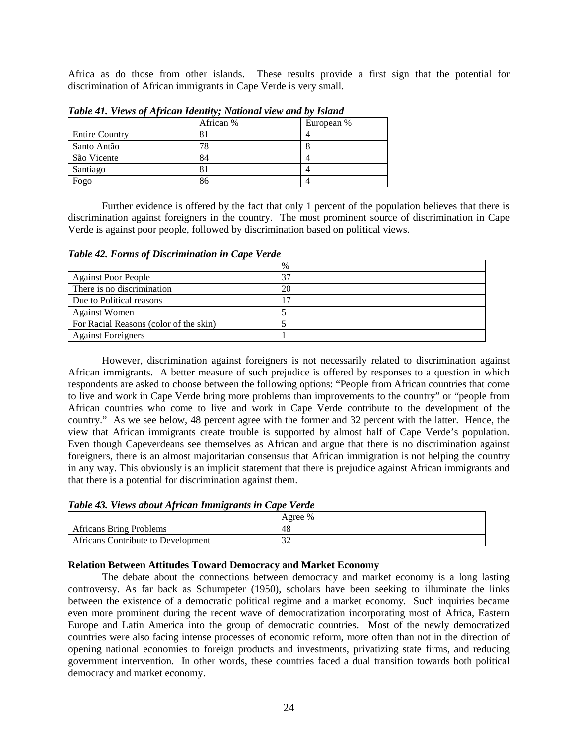Africa as do those from other islands. These results provide a first sign that the potential for discrimination of African immigrants in Cape Verde is very small.

|                       | African % | European % |  |  |
|-----------------------|-----------|------------|--|--|
| <b>Entire Country</b> | 81        |            |  |  |
| Santo Antão           | 78        |            |  |  |
| São Vicente           | 84        |            |  |  |
| Santiago              |           |            |  |  |
| Fogo                  | 86        |            |  |  |

*Table 41. Views of African Identity; National view and by Island* 

Further evidence is offered by the fact that only 1 percent of the population believes that there is discrimination against foreigners in the country. The most prominent source of discrimination in Cape Verde is against poor people, followed by discrimination based on political views.

|                                        | $\%$ |
|----------------------------------------|------|
| <b>Against Poor People</b>             | 37   |
| There is no discrimination             | 20   |
| Due to Political reasons               |      |
| <b>Against Women</b>                   |      |
| For Racial Reasons (color of the skin) |      |
| <b>Against Foreigners</b>              |      |

*Table 42. Forms of Discrimination in Cape Verde* 

However, discrimination against foreigners is not necessarily related to discrimination against African immigrants. A better measure of such prejudice is offered by responses to a question in which respondents are asked to choose between the following options: "People from African countries that come to live and work in Cape Verde bring more problems than improvements to the country" or "people from African countries who come to live and work in Cape Verde contribute to the development of the country." As we see below, 48 percent agree with the former and 32 percent with the latter. Hence, the view that African immigrants create trouble is supported by almost half of Cape Verde's population. Even though Capeverdeans see themselves as African and argue that there is no discrimination against foreigners, there is an almost majoritarian consensus that African immigration is not helping the country in any way. This obviously is an implicit statement that there is prejudice against African immigrants and that there is a potential for discrimination against them.

*Table 43. Views about African Immigrants in Cape Verde* 

|                                    | Agree $%$ |
|------------------------------------|-----------|
| Africans Bring Problems            | 48        |
| Africans Contribute to Development | $\sim$    |

## **Relation Between Attitudes Toward Democracy and Market Economy**

The debate about the connections between democracy and market economy is a long lasting controversy. As far back as Schumpeter (1950), scholars have been seeking to illuminate the links between the existence of a democratic political regime and a market economy. Such inquiries became even more prominent during the recent wave of democratization incorporating most of Africa, Eastern Europe and Latin America into the group of democratic countries. Most of the newly democratized countries were also facing intense processes of economic reform, more often than not in the direction of opening national economies to foreign products and investments, privatizing state firms, and reducing government intervention. In other words, these countries faced a dual transition towards both political democracy and market economy.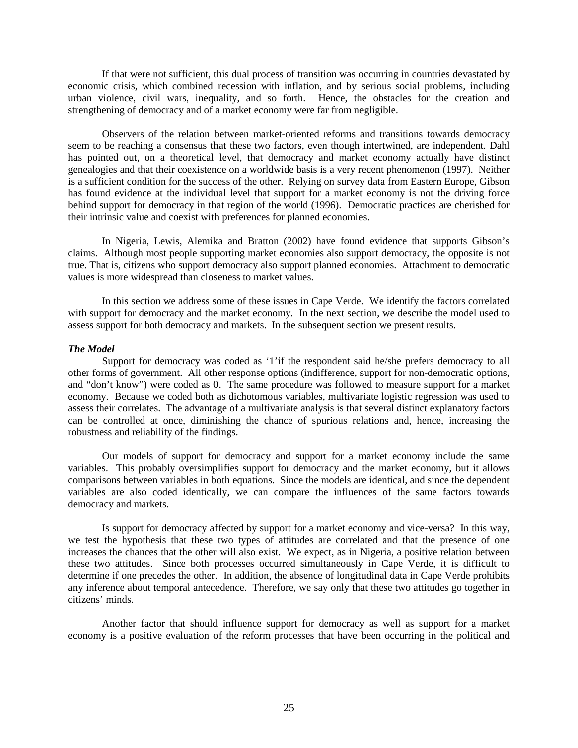If that were not sufficient, this dual process of transition was occurring in countries devastated by economic crisis, which combined recession with inflation, and by serious social problems, including urban violence, civil wars, inequality, and so forth. Hence, the obstacles for the creation and strengthening of democracy and of a market economy were far from negligible.

Observers of the relation between market-oriented reforms and transitions towards democracy seem to be reaching a consensus that these two factors, even though intertwined, are independent. Dahl has pointed out, on a theoretical level, that democracy and market economy actually have distinct genealogies and that their coexistence on a worldwide basis is a very recent phenomenon (1997). Neither is a sufficient condition for the success of the other. Relying on survey data from Eastern Europe, Gibson has found evidence at the individual level that support for a market economy is not the driving force behind support for democracy in that region of the world (1996). Democratic practices are cherished for their intrinsic value and coexist with preferences for planned economies.

In Nigeria, Lewis, Alemika and Bratton (2002) have found evidence that supports Gibson's claims. Although most people supporting market economies also support democracy, the opposite is not true. That is, citizens who support democracy also support planned economies. Attachment to democratic values is more widespread than closeness to market values.

In this section we address some of these issues in Cape Verde. We identify the factors correlated with support for democracy and the market economy. In the next section, we describe the model used to assess support for both democracy and markets. In the subsequent section we present results.

#### *The Model*

Support for democracy was coded as '1'if the respondent said he/she prefers democracy to all other forms of government. All other response options (indifference, support for non-democratic options, and "don't know") were coded as 0. The same procedure was followed to measure support for a market economy. Because we coded both as dichotomous variables, multivariate logistic regression was used to assess their correlates. The advantage of a multivariate analysis is that several distinct explanatory factors can be controlled at once, diminishing the chance of spurious relations and, hence, increasing the robustness and reliability of the findings.

Our models of support for democracy and support for a market economy include the same variables. This probably oversimplifies support for democracy and the market economy, but it allows comparisons between variables in both equations. Since the models are identical, and since the dependent variables are also coded identically, we can compare the influences of the same factors towards democracy and markets.

Is support for democracy affected by support for a market economy and vice-versa? In this way, we test the hypothesis that these two types of attitudes are correlated and that the presence of one increases the chances that the other will also exist. We expect, as in Nigeria, a positive relation between these two attitudes. Since both processes occurred simultaneously in Cape Verde, it is difficult to determine if one precedes the other. In addition, the absence of longitudinal data in Cape Verde prohibits any inference about temporal antecedence. Therefore, we say only that these two attitudes go together in citizens' minds.

Another factor that should influence support for democracy as well as support for a market economy is a positive evaluation of the reform processes that have been occurring in the political and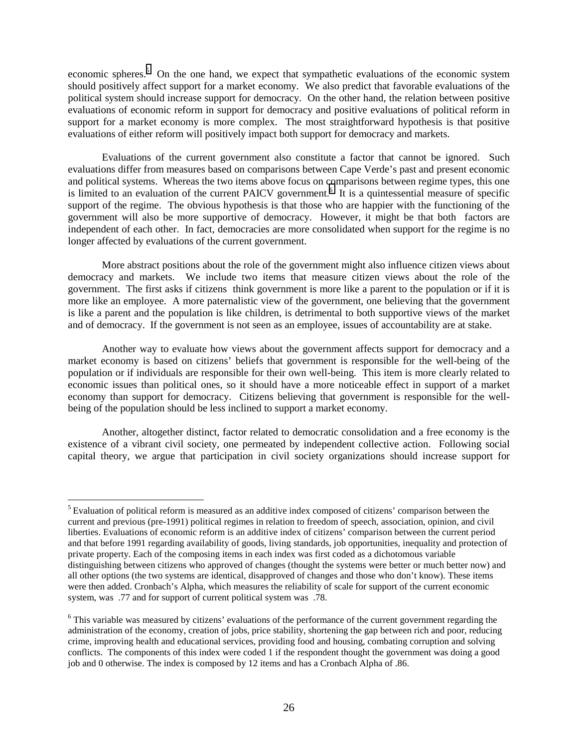economic spheres.<sup>5</sup> On the one hand, we expect that sympathetic evaluations of the economic system should positively affect support for a market economy. We also predict that favorable evaluations of the political system should increase support for democracy. On the other hand, the relation between positive evaluations of economic reform in support for democracy and positive evaluations of political reform in support for a market economy is more complex. The most straightforward hypothesis is that positive evaluations of either reform will positively impact both support for democracy and markets.

Evaluations of the current government also constitute a factor that cannot be ignored. Such evaluations differ from measures based on comparisons between Cape Verde's past and present economic and political systems. Whereas the two items above focus on comparisons between regime types, this one is limited to an evaluation of the current PAICV government.<sup>6</sup> It is a quintessential measure of specific support of the regime. The obvious hypothesis is that those who are happier with the functioning of the government will also be more supportive of democracy. However, it might be that both factors are independent of each other. In fact, democracies are more consolidated when support for the regime is no longer affected by evaluations of the current government.

More abstract positions about the role of the government might also influence citizen views about democracy and markets. We include two items that measure citizen views about the role of the government. The first asks if citizens think government is more like a parent to the population or if it is more like an employee. A more paternalistic view of the government, one believing that the government is like a parent and the population is like children, is detrimental to both supportive views of the market and of democracy. If the government is not seen as an employee, issues of accountability are at stake.

Another way to evaluate how views about the government affects support for democracy and a market economy is based on citizens' beliefs that government is responsible for the well-being of the population or if individuals are responsible for their own well-being. This item is more clearly related to economic issues than political ones, so it should have a more noticeable effect in support of a market economy than support for democracy. Citizens believing that government is responsible for the wellbeing of the population should be less inclined to support a market economy.

Another, altogether distinct, factor related to democratic consolidation and a free economy is the existence of a vibrant civil society, one permeated by independent collective action. Following social capital theory, we argue that participation in civil society organizations should increase support for

 $\overline{a}$ <sup>5</sup> Evaluation of political reform is measured as an additive index composed of citizens' comparison between the current and previous (pre-1991) political regimes in relation to freedom of speech, association, opinion, and civil liberties. Evaluations of economic reform is an additive index of citizens' comparison between the current period and that before 1991 regarding availability of goods, living standards, job opportunities, inequality and protection of private property. Each of the composing items in each index was first coded as a dichotomous variable distinguishing between citizens who approved of changes (thought the systems were better or much better now) and all other options (the two systems are identical, disapproved of changes and those who don't know). These items were then added. Cronbach's Alpha, which measures the reliability of scale for support of the current economic system, was .77 and for support of current political system was .78.

<sup>&</sup>lt;sup>6</sup> This variable was measured by citizens' evaluations of the performance of the current government regarding the administration of the economy, creation of jobs, price stability, shortening the gap between rich and poor, reducing crime, improving health and educational services, providing food and housing, combating corruption and solving conflicts. The components of this index were coded 1 if the respondent thought the government was doing a good job and 0 otherwise. The index is composed by 12 items and has a Cronbach Alpha of .86.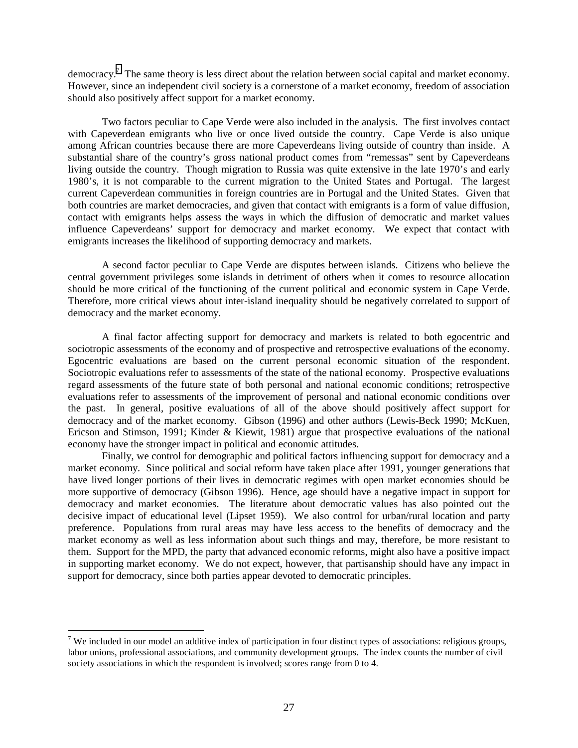democracy.<sup>7</sup> The same theory is less direct about the relation between social capital and market economy. However, since an independent civil society is a cornerstone of a market economy, freedom of association should also positively affect support for a market economy.

Two factors peculiar to Cape Verde were also included in the analysis. The first involves contact with Capeverdean emigrants who live or once lived outside the country. Cape Verde is also unique among African countries because there are more Capeverdeans living outside of country than inside. A substantial share of the country's gross national product comes from "remessas" sent by Capeverdeans living outside the country. Though migration to Russia was quite extensive in the late 1970's and early 1980's, it is not comparable to the current migration to the United States and Portugal. The largest current Capeverdean communities in foreign countries are in Portugal and the United States. Given that both countries are market democracies, and given that contact with emigrants is a form of value diffusion, contact with emigrants helps assess the ways in which the diffusion of democratic and market values influence Capeverdeans' support for democracy and market economy. We expect that contact with emigrants increases the likelihood of supporting democracy and markets.

A second factor peculiar to Cape Verde are disputes between islands. Citizens who believe the central government privileges some islands in detriment of others when it comes to resource allocation should be more critical of the functioning of the current political and economic system in Cape Verde. Therefore, more critical views about inter-island inequality should be negatively correlated to support of democracy and the market economy.

A final factor affecting support for democracy and markets is related to both egocentric and sociotropic assessments of the economy and of prospective and retrospective evaluations of the economy. Egocentric evaluations are based on the current personal economic situation of the respondent. Sociotropic evaluations refer to assessments of the state of the national economy. Prospective evaluations regard assessments of the future state of both personal and national economic conditions; retrospective evaluations refer to assessments of the improvement of personal and national economic conditions over the past. In general, positive evaluations of all of the above should positively affect support for democracy and of the market economy. Gibson (1996) and other authors (Lewis-Beck 1990; McKuen, Ericson and Stimson, 1991; Kinder & Kiewit, 1981) argue that prospective evaluations of the national economy have the stronger impact in political and economic attitudes.

Finally, we control for demographic and political factors influencing support for democracy and a market economy. Since political and social reform have taken place after 1991, younger generations that have lived longer portions of their lives in democratic regimes with open market economies should be more supportive of democracy (Gibson 1996). Hence, age should have a negative impact in support for democracy and market economies. The literature about democratic values has also pointed out the decisive impact of educational level (Lipset 1959). We also control for urban/rural location and party preference. Populations from rural areas may have less access to the benefits of democracy and the market economy as well as less information about such things and may, therefore, be more resistant to them. Support for the MPD, the party that advanced economic reforms, might also have a positive impact in supporting market economy. We do not expect, however, that partisanship should have any impact in support for democracy, since both parties appear devoted to democratic principles.

<sup>&</sup>lt;sup>7</sup> We included in our model an additive index of participation in four distinct types of associations: religious groups, labor unions, professional associations, and community development groups. The index counts the number of civil society associations in which the respondent is involved; scores range from 0 to 4.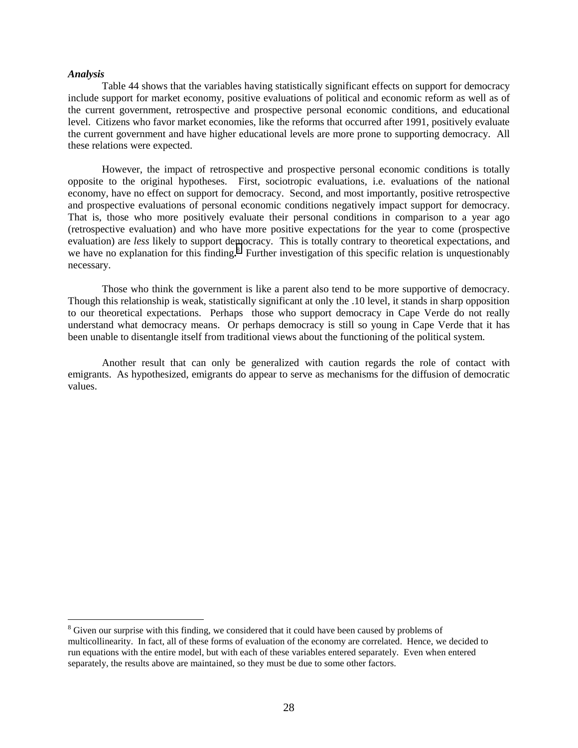#### *Analysis*

 $\overline{a}$ 

Table 44 shows that the variables having statistically significant effects on support for democracy include support for market economy, positive evaluations of political and economic reform as well as of the current government, retrospective and prospective personal economic conditions, and educational level. Citizens who favor market economies, like the reforms that occurred after 1991, positively evaluate the current government and have higher educational levels are more prone to supporting democracy. All these relations were expected.

However, the impact of retrospective and prospective personal economic conditions is totally opposite to the original hypotheses. First, sociotropic evaluations, i.e. evaluations of the national economy, have no effect on support for democracy. Second, and most importantly, positive retrospective and prospective evaluations of personal economic conditions negatively impact support for democracy. That is, those who more positively evaluate their personal conditions in comparison to a year ago (retrospective evaluation) and who have more positive expectations for the year to come (prospective evaluation) are *less* likely to support democracy. This is totally contrary to theoretical expectations, and we have no explanation for this finding.<sup>8</sup> Further investigation of this specific relation is unquestionably necessary.

Those who think the government is like a parent also tend to be more supportive of democracy. Though this relationship is weak, statistically significant at only the .10 level, it stands in sharp opposition to our theoretical expectations. Perhaps those who support democracy in Cape Verde do not really understand what democracy means. Or perhaps democracy is still so young in Cape Verde that it has been unable to disentangle itself from traditional views about the functioning of the political system.

 Another result that can only be generalized with caution regards the role of contact with emigrants. As hypothesized, emigrants do appear to serve as mechanisms for the diffusion of democratic values.

 $8$  Given our surprise with this finding, we considered that it could have been caused by problems of multicollinearity. In fact, all of these forms of evaluation of the economy are correlated. Hence, we decided to run equations with the entire model, but with each of these variables entered separately. Even when entered separately, the results above are maintained, so they must be due to some other factors.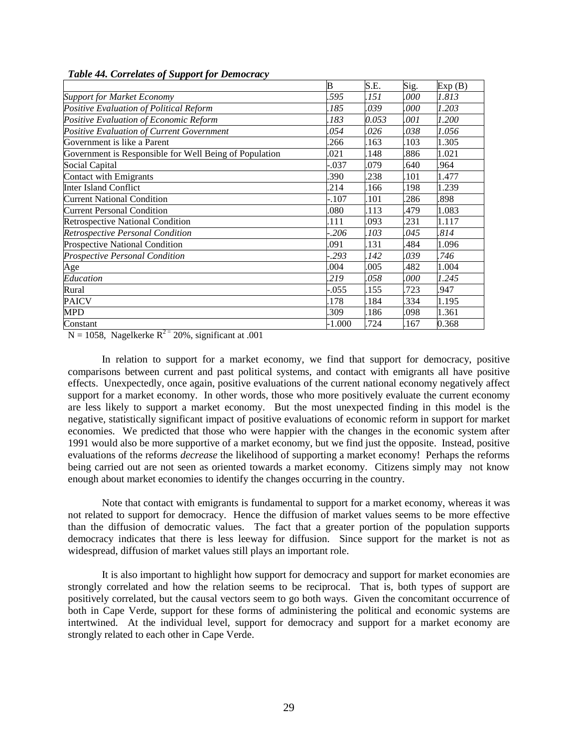|                                                        | В        | S.E.  | Sig. | Exp(B) |
|--------------------------------------------------------|----------|-------|------|--------|
| <b>Support for Market Economy</b>                      | 595      | 151   | 000  | 1.813  |
| Positive Evaluation of Political Reform                | 185      | .039  | 000  | 1.203  |
| Positive Evaluation of Economic Reform                 | 183      | 0.053 | 001  | 1.200  |
| Positive Evaluation of Current Government              | 054      | .026  | 038  | 1.056  |
| Government is like a Parent                            | .266     | 163   | 103  | 1.305  |
| Government is Responsible for Well Being of Population | .021     | 148   | 886  | 1.021  |
| Social Capital                                         | -.037    | .079  | 640  | 964    |
| Contact with Emigrants                                 | .390     | .238  | 101  | 1.477  |
| <b>Inter Island Conflict</b>                           | .214     | 166   | 198  | 1.239  |
| <b>Current National Condition</b>                      | -.107    | .101  | .286 | .898   |
| <b>Current Personal Condition</b>                      | .080     | .113  | 479  | 1.083  |
| <b>Retrospective National Condition</b>                | .111     | .093  | .231 | 1.117  |
| <b>Retrospective Personal Condition</b>                | -.206    | .103  | 045  | 814    |
| <b>Prospective National Condition</b>                  | .091     | .131  | .484 | 1.096  |
| <b>Prospective Personal Condition</b>                  | $-0.293$ | 142   | 039  | .746   |
| Age                                                    | .004     | .005  | 482  | 1.004  |
| Education                                              | 219      | .058  | 000  | 1.245  |
| Rural                                                  | -.055    | .155  | 723  | .947   |
| <b>PAICV</b>                                           | 178      | .184  | 334  | 1.195  |
| MPD                                                    | .309     | .186  | .098 | 1.361  |
| Constant                                               | $-1.000$ | .724  | 167  | 0.368  |

*Table 44. Correlates of Support for Democracy* 

 $N = 1058$ , Nagelkerke  $R^2 = 20\%$ , significant at .001

In relation to support for a market economy, we find that support for democracy, positive comparisons between current and past political systems, and contact with emigrants all have positive effects. Unexpectedly, once again, positive evaluations of the current national economy negatively affect support for a market economy. In other words, those who more positively evaluate the current economy are less likely to support a market economy. But the most unexpected finding in this model is the negative, statistically significant impact of positive evaluations of economic reform in support for market economies. We predicted that those who were happier with the changes in the economic system after 1991 would also be more supportive of a market economy, but we find just the opposite. Instead, positive evaluations of the reforms *decrease* the likelihood of supporting a market economy! Perhaps the reforms being carried out are not seen as oriented towards a market economy. Citizens simply may not know enough about market economies to identify the changes occurring in the country.

 Note that contact with emigrants is fundamental to support for a market economy, whereas it was not related to support for democracy. Hence the diffusion of market values seems to be more effective than the diffusion of democratic values. The fact that a greater portion of the population supports democracy indicates that there is less leeway for diffusion. Since support for the market is not as widespread, diffusion of market values still plays an important role.

 It is also important to highlight how support for democracy and support for market economies are strongly correlated and how the relation seems to be reciprocal. That is, both types of support are positively correlated, but the causal vectors seem to go both ways. Given the concomitant occurrence of both in Cape Verde, support for these forms of administering the political and economic systems are intertwined. At the individual level, support for democracy and support for a market economy are strongly related to each other in Cape Verde.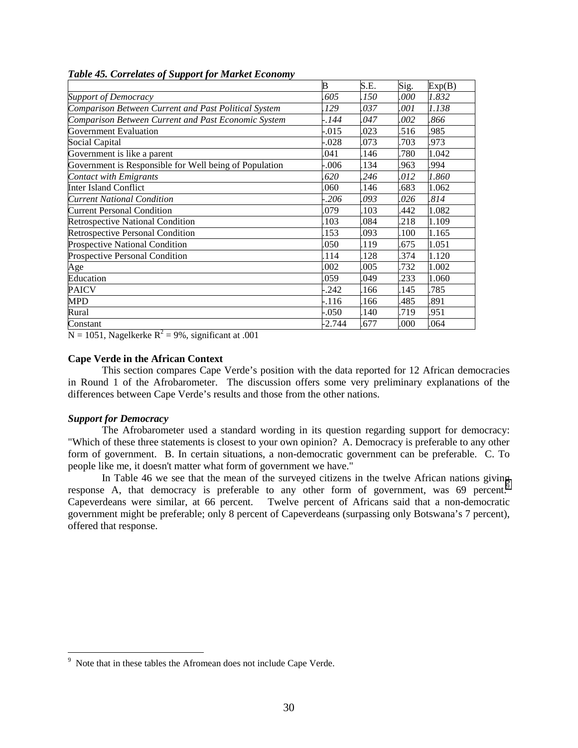|                                                        | В        | S.E. | Sig. | Exp(B) |
|--------------------------------------------------------|----------|------|------|--------|
| <b>Support of Democracy</b>                            | 605      | 150  | .000 | 1.832  |
| Comparison Between Current and Past Political System   | 129      | .037 | .001 | 1.138  |
| Comparison Between Current and Past Economic System    | -.144    | .047 | .002 | 866    |
| Government Evaluation                                  | $-0.015$ | .023 | .516 | .985   |
| Social Capital                                         | $-.028$  | .073 | .703 | .973   |
| Government is like a parent                            | .041     | 146  | .780 | 1.042  |
| Government is Responsible for Well being of Population | $-0.06$  | .134 | .963 | .994   |
| Contact with Emigrants                                 | 620      | 246  | 012  | 1.860  |
| <b>Inter Island Conflict</b>                           | .060     | 146  | .683 | 1.062  |
| Current National Condition                             | $-.206$  | .093 | .026 | 814    |
| Current Personal Condition                             | .079     | .103 | .442 | 1.082  |
| <b>Retrospective National Condition</b>                | .103     | .084 | .218 | 1.109  |
| <b>Retrospective Personal Condition</b>                | 153      | .093 | .100 | 1.165  |
| <b>Prospective National Condition</b>                  | .050     | .119 | .675 | 1.051  |
| <b>Prospective Personal Condition</b>                  | .114     | 128  | 374  | 1.120  |
| Age                                                    | .002     | .005 | .732 | 1.002  |
| Education                                              | .059     | .049 | .233 | 1.060  |
| <b>PAICV</b>                                           | $-242$   | 166  | 145  | 785    |
| MPD                                                    | -.116    | 166  | .485 | .891   |
| Rural                                                  | -.050    | 140  | .719 | .951   |
| Constant                                               | $-2.744$ | .677 | .000 | .064   |

*Table 45. Correlates of Support for Market Economy* 

 $N = 1051$ , Nagelkerke  $R^2 = 9\%$ , significant at .001

### **Cape Verde in the African Context**

This section compares Cape Verde's position with the data reported for 12 African democracies in Round 1 of the Afrobarometer. The discussion offers some very preliminary explanations of the differences between Cape Verde's results and those from the other nations.

#### *Support for Democracy*

The Afrobarometer used a standard wording in its question regarding support for democracy: "Which of these three statements is closest to your own opinion? A. Democracy is preferable to any other form of government. B. In certain situations, a non-democratic government can be preferable. C. To people like me, it doesn't matter what form of government we have."

In Table 46 we see that the mean of the surveyed citizens in the twelve African nations giving response A, that democracy is preferable to any other form of government, was 69 percent.<sup> $\overline{9}$ </sup> Capeverdeans were similar, at 66 percent. Twelve percent of Africans said that a non-democratic government might be preferable; only 8 percent of Capeverdeans (surpassing only Botswana's 7 percent), offered that response.

<sup>&</sup>lt;sup>9</sup> Note that in these tables the Afromean does not include Cape Verde.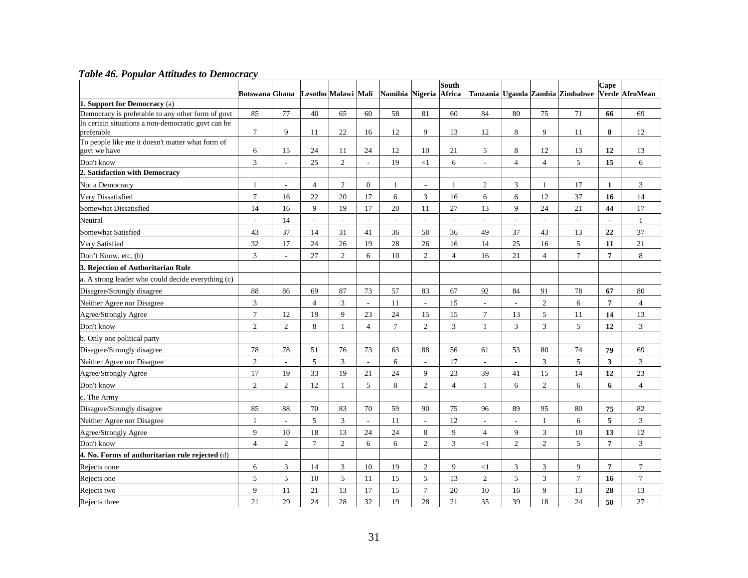# *Table 46. Popular Attitudes to Democracy*

|                                                                  | <b>Botswana</b> Ghana    |                |                | Lesotho Malawi Mali      |                          | Namibia Nigeria          |                          | <b>South</b><br>Africa   |                          |                          |                | Tanzania Uganda Zambia Zimbabwe | Cape           | Verde AfroMean |
|------------------------------------------------------------------|--------------------------|----------------|----------------|--------------------------|--------------------------|--------------------------|--------------------------|--------------------------|--------------------------|--------------------------|----------------|---------------------------------|----------------|----------------|
| 1. Support for Democracy (a)                                     |                          |                |                |                          |                          |                          |                          |                          |                          |                          |                |                                 |                |                |
| Democracy is preferable to any other form of govt                | 85                       | 77             | 40             | 65                       | 60                       | 58                       | 81                       | 60                       | 84                       | 80                       | 75             | 71                              | 66             | 69             |
| In certain situations a non-democratic govt can be               |                          |                |                |                          |                          |                          |                          |                          |                          |                          |                |                                 |                |                |
| preferable                                                       | $\tau$                   | 9              | 11             | 22                       | 16                       | 12                       | 9                        | 13                       | 12                       | 8                        | 9              | 11                              | 8              | 12             |
| To people like me it doesn't matter what form of<br>govt we have | 6                        | 15             | 24             | 11                       | 24                       | 12                       | 10                       | 21                       | 5                        | $\,8\,$                  | 12             | 13                              | 12             | 13             |
| Don't know                                                       | 3                        | $\sim$         | 25             | $\overline{2}$           | L.                       | 19                       | $<\!\!1$                 | 6                        | $\overline{\phantom{a}}$ | $\overline{4}$           | $\overline{4}$ | 5                               | 15             | 6              |
| 2. Satisfaction with Democracy                                   |                          |                |                |                          |                          |                          |                          |                          |                          |                          |                |                                 |                |                |
| Not a Democracy                                                  |                          | $\sim$         | $\overline{4}$ | $\mathfrak{2}$           | $\overline{0}$           | 1                        | $\overline{\phantom{a}}$ | 1                        | $\mathbf{2}$             | $\mathfrak{Z}$           | $\mathbf{1}$   | 17                              | 1              | 3              |
| Very Dissatisfied                                                | $\overline{7}$           | 16             | 22             | 20                       | 17                       | 6                        | 3                        | 16                       | $6\,$                    | 6                        | 12             | 37                              | 16             | 14             |
| Somewhat Dissatisfied                                            | 14                       | 16             | $\mathbf{Q}$   | 19                       | 17                       | 20                       | 11                       | 27                       | 13                       | 9                        | 24             | 21                              | 44             | 17             |
| Neutral                                                          | $\overline{\phantom{a}}$ | 14             | $\overline{a}$ | $\overline{\phantom{a}}$ | $\overline{a}$           | $\overline{\phantom{a}}$ | $\overline{\phantom{a}}$ | $\overline{\phantom{a}}$ | $\overline{a}$           | $\overline{a}$           |                | $\overline{a}$                  | $\overline{a}$ | $\mathbf{1}$   |
| Somewhat Satisfied                                               | 43                       | 37             | 14             | 31                       | 41                       | 36                       | 58                       | 36                       | 49                       | 37                       | 43             | 13                              | 22             | 37             |
| Very Satisfied                                                   | 32                       | 17             | 24             | 26                       | 19                       | 28                       | $26\,$                   | 16                       | 14                       | $25\,$                   | 16             | 5                               | 11             | $21\,$         |
| Don't Know, etc. (b)                                             | 3                        | $\mathcal{L}$  | 27             | $\overline{c}$           | 6                        | 10                       | $\overline{c}$           | $\overline{4}$           | 16                       | 21                       | $\overline{4}$ | $\tau$                          | $\overline{7}$ | 8              |
| 3. Rejection of Authoritarian Rule                               |                          |                |                |                          |                          |                          |                          |                          |                          |                          |                |                                 |                |                |
| a. A strong leader who could decide everything (c)               |                          |                |                |                          |                          |                          |                          |                          |                          |                          |                |                                 |                |                |
| Disagree/Strongly disagree                                       | 88                       | 86             | 69             | 87                       | 73                       | 57                       | 83                       | 67                       | 92                       | 84                       | 91             | 78                              | 67             | $80\,$         |
| Neither Agree nor Disagree                                       | $\overline{3}$           |                | $\overline{4}$ | 3                        | $\overline{a}$           | 11                       | $\overline{a}$           | 15                       | $\overline{a}$           | $\overline{a}$           | $\overline{c}$ | 6                               | $\overline{7}$ | $\overline{4}$ |
| Agree/Strongly Agree                                             | $\overline{7}$           | 12             | 19             | 9                        | 23                       | $24\,$                   | 15                       | 15                       | $\boldsymbol{7}$         | 13                       | 5              | 11                              | 14             | 13             |
| Don't know                                                       | $\overline{2}$           | 2              | $\,8\,$        | $\mathbf{1}$             | $\overline{4}$           | $\tau$                   | $\overline{2}$           | $\mathfrak{Z}$           | $\mathbf{1}$             | $\mathfrak{Z}$           | 3              | 5                               | 12             | $\overline{3}$ |
| b. Only one political party                                      |                          |                |                |                          |                          |                          |                          |                          |                          |                          |                |                                 |                |                |
| Disagree/Strongly disagree                                       | 78                       | 78             | 51             | 76                       | 73                       | 63                       | 88                       | 56                       | 61                       | 53                       | 80             | 74                              | 79             | 69             |
| Neither Agree nor Disagree                                       | $\overline{c}$           | $\overline{a}$ | $\sqrt{5}$     | 3                        | $\overline{a}$           | 6                        | $\overline{a}$           | 17                       | $\Box$                   | $\overline{\phantom{a}}$ | $\mathfrak{Z}$ | $\sqrt{5}$                      | $\mathbf{3}$   | $\mathfrak{Z}$ |
| <b>Agree/Strongly Agree</b>                                      | 17                       | 19             | 33             | 19                       | 21                       | 24                       | 9                        | 23                       | 39                       | 41                       | 15             | 14                              | 12             | 23             |
| Don't know                                                       | $\overline{2}$           | $\overline{2}$ | 12             | $\mathbf{1}$             | 5                        | 8                        | $\overline{2}$           | $\overline{4}$           | $\mathbf{1}$             | 6                        | $\overline{2}$ | 6                               | 6              | $\overline{4}$ |
| c. The Army                                                      |                          |                |                |                          |                          |                          |                          |                          |                          |                          |                |                                 |                |                |
| Disagree/Strongly disagree                                       | 85                       | 88             | 70             | 83                       | 70                       | 59                       | 90                       | 75                       | 96                       | 89                       | 95             | 80                              | 75             | 82             |
| Neither Agree nor Disagree                                       | 1                        |                | 5              | $\mathfrak{Z}$           | $\overline{\phantom{a}}$ | 11                       | $\overline{a}$           | 12                       | $\overline{\phantom{a}}$ | $\overline{\phantom{a}}$ | $\mathbf{1}$   | 6                               | 5              | $\overline{3}$ |
| Agree/Strongly Agree                                             | 9                        | 10             | 18             | 13                       | 24                       | 24                       | 8                        | 9                        | $\overline{4}$           | 9                        | 3              | 10                              | 13             | 12             |
| Don't know                                                       | $\overline{4}$           | $\overline{2}$ | $\tau$         | $\overline{c}$           | 6                        | 6                        | $\overline{2}$           | $\mathfrak{Z}$           | <1                       | $\overline{2}$           | $\overline{c}$ | 5                               | $\overline{7}$ | $\overline{3}$ |
| 4. No. Forms of authoritarian rule rejected (d)                  |                          |                |                |                          |                          |                          |                          |                          |                          |                          |                |                                 |                |                |
| Rejects none                                                     | 6                        | 3              | 14             | 3                        | 10                       | 19                       | $\overline{c}$           | 9                        | $<$ 1                    | $\mathfrak{Z}$           | 3              | 9                               | $\overline{7}$ | $\tau$         |
| Rejects one                                                      | 5                        | 5              | 10             | 5                        | 11                       | 15                       | 5                        | 13                       | $\mathfrak{2}$           | 5                        | 3              | $\tau$                          | 16             | $\tau$         |
| Rejects two                                                      | 9                        | 11             | 21             | 13                       | 17                       | 15                       | $\overline{7}$           | 20                       | 10                       | 16                       | 9              | 13                              | 28             | 13             |
| Rejects three                                                    | 21                       | 29             | 24             | 28                       | 32                       | 19                       | 28                       | 21                       | 35                       | 39                       | 18             | 24                              | 50             | 27             |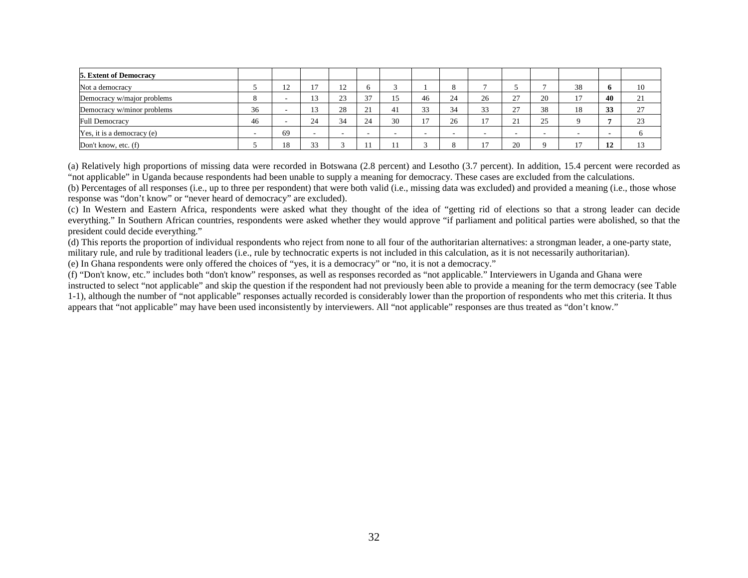| <b>5. Extent of Democracy</b> |     |      |                |    |                    |     |                          |               |                                |                      |         |                       |                          |    |
|-------------------------------|-----|------|----------------|----|--------------------|-----|--------------------------|---------------|--------------------------------|----------------------|---------|-----------------------|--------------------------|----|
| Not a democracy               |     | - 12 | $\overline{ }$ | 12 |                    |     |                          | $\Omega$<br>Ō |                                |                      |         | 38                    | Ð                        | 10 |
| Democracy w/major problems    |     |      | 13             | 23 | 37                 | ⊥ J | 46                       | 24            | 26                             | $\mathcal{L}$<br>، ک | 20      | 1 <sub>7</sub><br>. . | 40                       | 21 |
| Democracy w/minor problems    | 36  |      | 13             | 28 | $\sim$<br><u>_</u> | 41  | 33                       | 34            | 33                             | 27                   | 38      | 18                    | 33                       | 27 |
| <b>Full Democracy</b>         | -46 |      | 24             | 34 | 24                 | 30  | $\pm$                    | 26            | 1 <sub>7</sub><br>$\mathbf{1}$ | $\mathbf{C}$<br>∠⊥   | 25<br>ت |                       |                          | 23 |
| Yes, it is a democracy (e)    |     | 69   |                | -  | -                  |     | $\overline{\phantom{a}}$ |               |                                | -                    |         | -                     | $\overline{\phantom{a}}$ |    |
| Don't know, etc. (f)          |     | 18   | 33             |    |                    |     |                          | $\Omega$      | $\sim$                         | 20                   | a       | $\overline{ }$        | 12                       | 13 |

(a) Relatively high proportions of missing data were recorded in Botswana (2.8 percent) and Lesotho (3.7 percent). In addition, 15.4 percent were recorded as "not applicable" in Uganda because respondents had been unable to supply a meaning for democracy. These cases are excluded from the calculations.

(b) Percentages of all responses (i.e., up to three per respondent) that were both valid (i.e., missing data was excluded) and provided a meaning (i.e., those whose response was "don't know" or "never heard of democracy" are excluded).

(c) In Western and Eastern Africa, respondents were asked what they thought of the idea of "getting rid of elections so that a strong leader can decide everything." In Southern African countries, respondents were asked whether they would approve "if parliament and political parties were abolished, so that the president could decide everything."

(d) This reports the proportion of individual respondents who reject from none to all four of the authoritarian alternatives: a strongman leader, a one-party state, military rule, and rule by traditional leaders (i.e., rule by technocratic experts is not included in this calculation, as it is not necessarily authoritarian).

(e) In Ghana respondents were only offered the choices of "yes, it is a democracy" or "no, it is not a democracy."

(f) "Don't know, etc." includes both "don't know" responses, as well as responses recorded as "not applicable." Interviewers in Uganda and Ghana were instructed to select "not applicable" and skip the question if the respondent had not previously been able to provide a meaning for the term democracy (see Table 1-1), although the number of "not applicable" responses actually recorded is considerably lower than the proportion of respondents who met this criteria. It thus appears that "not applicable" may have been used inconsistently by interviewers. All "not applicable" responses are thus treated as "don't know."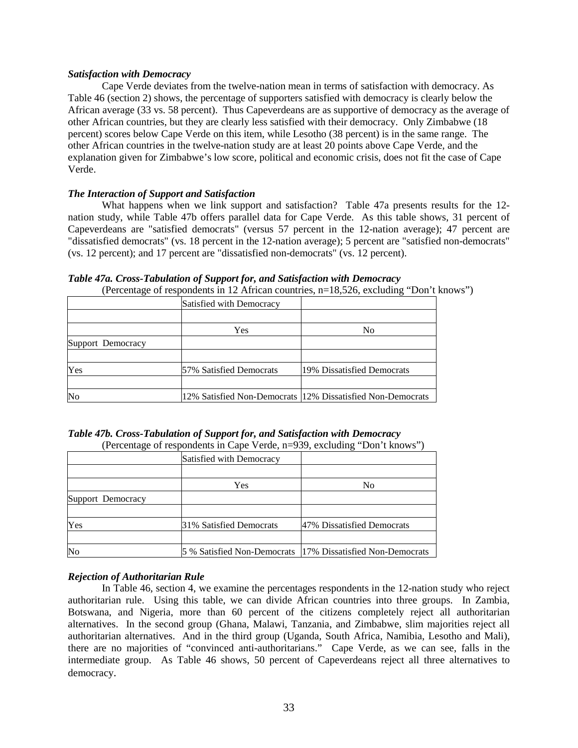### *Satisfaction with Democracy*

Cape Verde deviates from the twelve-nation mean in terms of satisfaction with democracy. As Table 46 (section 2) shows, the percentage of supporters satisfied with democracy is clearly below the African average (33 vs. 58 percent). Thus Capeverdeans are as supportive of democracy as the average of other African countries, but they are clearly less satisfied with their democracy. Only Zimbabwe (18 percent) scores below Cape Verde on this item, while Lesotho (38 percent) is in the same range. The other African countries in the twelve-nation study are at least 20 points above Cape Verde, and the explanation given for Zimbabwe's low score, political and economic crisis, does not fit the case of Cape Verde.

## *The Interaction of Support and Satisfaction*

What happens when we link support and satisfaction? Table 47a presents results for the 12 nation study, while Table 47b offers parallel data for Cape Verde. As this table shows, 31 percent of Capeverdeans are "satisfied democrats" (versus 57 percent in the 12-nation average); 47 percent are "dissatisfied democrats" (vs. 18 percent in the 12-nation average); 5 percent are "satisfied non-democrats" (vs. 12 percent); and 17 percent are "dissatisfied non-democrats" (vs. 12 percent).

|                   | Satisfied with Democracy |                                                            |
|-------------------|--------------------------|------------------------------------------------------------|
|                   | Yes                      | N <sub>0</sub>                                             |
| Support Democracy |                          |                                                            |
|                   |                          |                                                            |
| Yes               | 57% Satisfied Democrats  | 19% Dissatisfied Democrats                                 |
|                   |                          |                                                            |
| No                |                          | 12% Satisfied Non-Democrats 12% Dissatisfied Non-Democrats |

*Table 47a. Cross-Tabulation of Support for, and Satisfaction with Democracy* 

(Percentage of respondents in 12 African countries, n=18,526, excluding "Don't knows")

| Table 47b. Cross-Tabulation of Support for, and Satisfaction with Democracy |
|-----------------------------------------------------------------------------|
| (Percentage of respondents in Cape Verde, n=939, excluding "Don't knows")   |

|                |                   |                          | $\alpha$ encertage of respondents in Cape vertie, $n$ –737, excluding Don CKnows T |
|----------------|-------------------|--------------------------|------------------------------------------------------------------------------------|
|                |                   | Satisfied with Democracy |                                                                                    |
|                |                   |                          |                                                                                    |
|                |                   | Yes                      | N <sub>0</sub>                                                                     |
|                | Support Democracy |                          |                                                                                    |
|                |                   |                          |                                                                                    |
| Yes            |                   | 31% Satisfied Democrats  | 47% Dissatisfied Democrats                                                         |
|                |                   |                          |                                                                                    |
| N <sub>o</sub> |                   |                          | 5 % Satisfied Non-Democrats 17% Dissatisfied Non-Democrats                         |

## *Rejection of Authoritarian Rule*

In Table 46, section 4, we examine the percentages respondents in the 12-nation study who reject authoritarian rule. Using this table, we can divide African countries into three groups. In Zambia, Botswana, and Nigeria, more than 60 percent of the citizens completely reject all authoritarian alternatives. In the second group (Ghana, Malawi, Tanzania, and Zimbabwe, slim majorities reject all authoritarian alternatives. And in the third group (Uganda, South Africa, Namibia, Lesotho and Mali), there are no majorities of "convinced anti-authoritarians." Cape Verde, as we can see, falls in the intermediate group. As Table 46 shows, 50 percent of Capeverdeans reject all three alternatives to democracy.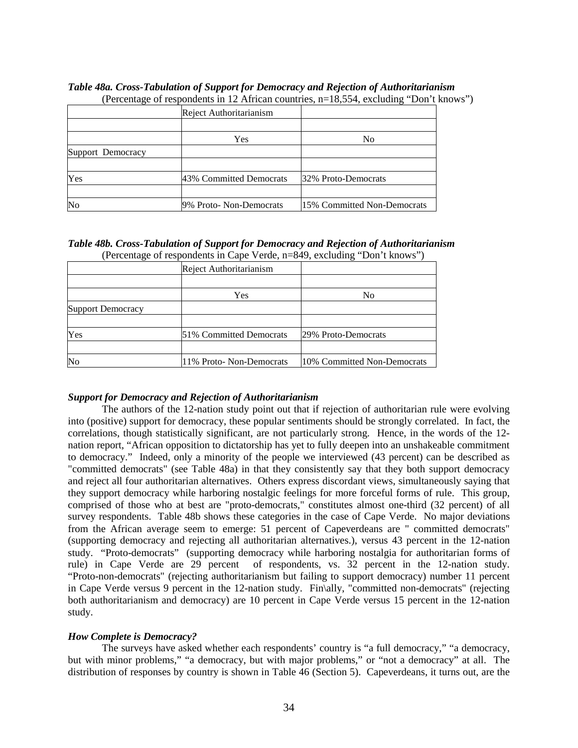|                   | Reject Authoritarianism |                             |
|-------------------|-------------------------|-----------------------------|
|                   | Yes                     | N <sub>0</sub>              |
| Support Democracy |                         |                             |
| Yes               | 43% Committed Democrats | 32% Proto-Democrats         |
| N <sub>o</sub>    | 9% Proto- Non-Democrats | 15% Committed Non-Democrats |

*Table 48a. Cross-Tabulation of Support for Democracy and Rejection of Authoritarianism*  (Percentage of respondents in 12 African countries, n=18,554, excluding "Don't knows")

| Table 48b. Cross-Tabulation of Support for Democracy and Rejection of Authoritarianism |
|----------------------------------------------------------------------------------------|
| (Percentage of respondents in Cape Verde, n=849, excluding "Don't knows")              |

|                   | Reject Authoritarianism  |                             |
|-------------------|--------------------------|-----------------------------|
|                   | <b>Yes</b>               | N <sub>0</sub>              |
| Support Democracy |                          |                             |
| Yes               | 51% Committed Democrats  | 29% Proto-Democrats         |
| No                | 11% Proto- Non-Democrats | 10% Committed Non-Democrats |

## *Support for Democracy and Rejection of Authoritarianism*

The authors of the 12-nation study point out that if rejection of authoritarian rule were evolving into (positive) support for democracy, these popular sentiments should be strongly correlated. In fact, the correlations, though statistically significant, are not particularly strong. Hence, in the words of the 12 nation report, "African opposition to dictatorship has yet to fully deepen into an unshakeable commitment to democracy." Indeed, only a minority of the people we interviewed (43 percent) can be described as "committed democrats" (see Table 48a) in that they consistently say that they both support democracy and reject all four authoritarian alternatives. Others express discordant views, simultaneously saying that they support democracy while harboring nostalgic feelings for more forceful forms of rule. This group, comprised of those who at best are "proto-democrats," constitutes almost one-third (32 percent) of all survey respondents. Table 48b shows these categories in the case of Cape Verde. No major deviations from the African average seem to emerge: 51 percent of Capeverdeans are " committed democrats" (supporting democracy and rejecting all authoritarian alternatives.), versus 43 percent in the 12-nation study. "Proto-democrats" (supporting democracy while harboring nostalgia for authoritarian forms of rule) in Cape Verde are 29 percent of respondents, vs. 32 percent in the 12-nation study. "Proto-non-democrats" (rejecting authoritarianism but failing to support democracy) number 11 percent in Cape Verde versus 9 percent in the 12-nation study. Fin\ally, "committed non-democrats" (rejecting both authoritarianism and democracy) are 10 percent in Cape Verde versus 15 percent in the 12-nation study.

# *How Complete is Democracy?*

The surveys have asked whether each respondents' country is "a full democracy," "a democracy, but with minor problems," "a democracy, but with major problems," or "not a democracy" at all. The distribution of responses by country is shown in Table 46 (Section 5). Capeverdeans, it turns out, are the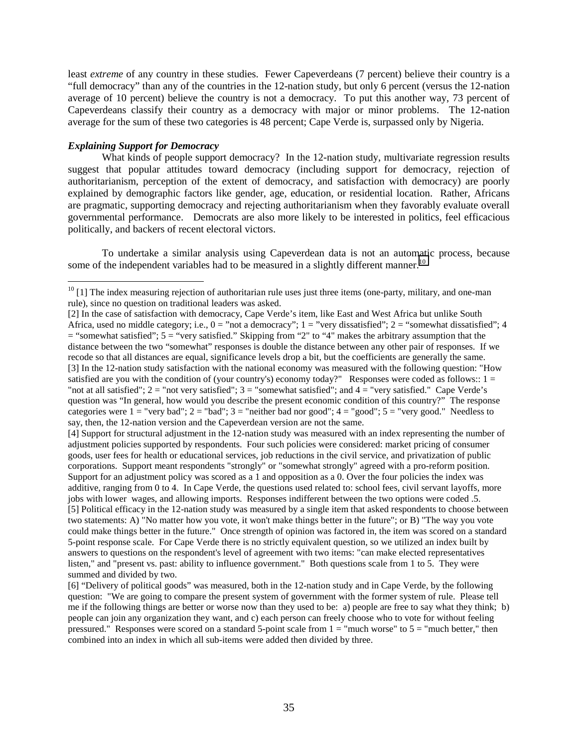least *extreme* of any country in these studies. Fewer Capeverdeans (7 percent) believe their country is a "full democracy" than any of the countries in the 12-nation study, but only 6 percent (versus the 12-nation average of 10 percent) believe the country is not a democracy. To put this another way, 73 percent of Capeverdeans classify their country as a democracy with major or minor problems. The 12-nation average for the sum of these two categories is 48 percent; Cape Verde is, surpassed only by Nigeria.

### *Explaining Support for Democracy*

What kinds of people support democracy? In the 12-nation study, multivariate regression results suggest that popular attitudes toward democracy (including support for democracy, rejection of authoritarianism, perception of the extent of democracy, and satisfaction with democracy) are poorly explained by demographic factors like gender, age, education, or residential location. Rather, Africans are pragmatic, supporting democracy and rejecting authoritarianism when they favorably evaluate overall governmental performance. Democrats are also more likely to be interested in politics, feel efficacious politically, and backers of recent electoral victors.

 To undertake a similar analysis using Capeverdean data is not an automatic process, because some of the independent variables had to be measured in a slightly different manner.<sup>10</sup>

[4] Support for structural adjustment in the 12-nation study was measured with an index representing the number of adjustment policies supported by respondents. Four such policies were considered: market pricing of consumer goods, user fees for health or educational services, job reductions in the civil service, and privatization of public corporations. Support meant respondents "strongly" or "somewhat strongly" agreed with a pro-reform position. Support for an adjustment policy was scored as a 1 and opposition as a 0. Over the four policies the index was additive, ranging from 0 to 4. In Cape Verde, the questions used related to: school fees, civil servant layoffs, more jobs with lower wages, and allowing imports. Responses indifferent between the two options were coded .5. [5] Political efficacy in the 12-nation study was measured by a single item that asked respondents to choose between two statements: A) "No matter how you vote, it won't make things better in the future"; or B) "The way you vote could make things better in the future." Once strength of opinion was factored in, the item was scored on a standard 5-point response scale. For Cape Verde there is no strictly equivalent question, so we utilized an index built by answers to questions on the respondent's level of agreement with two items: "can make elected representatives listen," and "present vs. past: ability to influence government." Both questions scale from 1 to 5. They were summed and divided by two.

[6] "Delivery of political goods" was measured, both in the 12-nation study and in Cape Verde, by the following question: "We are going to compare the present system of government with the former system of rule. Please tell me if the following things are better or worse now than they used to be: a) people are free to say what they think; b) people can join any organization they want, and c) each person can freely choose who to vote for without feeling pressured." Responses were scored on a standard 5-point scale from  $1 =$  "much worse" to  $5 =$  "much better," then combined into an index in which all sub-items were added then divided by three.

 $\overline{a}$  $10$  [1] The index measuring rejection of authoritarian rule uses just three items (one-party, military, and one-man rule), since no question on traditional leaders was asked.

<sup>[2]</sup> In the case of satisfaction with democracy, Cape Verde's item, like East and West Africa but unlike South Africa, used no middle category; i.e.,  $0 =$  "not a democracy";  $1 =$  "very dissatisfied";  $2 =$  "somewhat dissatisfied"; 4  $=$  "somewhat satisfied";  $5 =$  "very satisfied." Skipping from "2" to "4" makes the arbitrary assumption that the distance between the two "somewhat" responses is double the distance between any other pair of responses. If we recode so that all distances are equal, significance levels drop a bit, but the coefficients are generally the same. [3] In the 12-nation study satisfaction with the national economy was measured with the following question: "How satisfied are you with the condition of (your country's) economy today?" Responses were coded as follows:: 1 = "not at all satisfied";  $2 =$  "not very satisfied";  $3 =$  "somewhat satisfied"; and  $4 =$  "very satisfied." Cape Verde's question was "In general, how would you describe the present economic condition of this country?" The response categories were  $1 =$  "very bad";  $2 =$  "bad";  $3 =$  "neither bad nor good";  $4 =$  "good";  $5 =$  "very good." Needless to say, then, the 12-nation version and the Capeverdean version are not the same.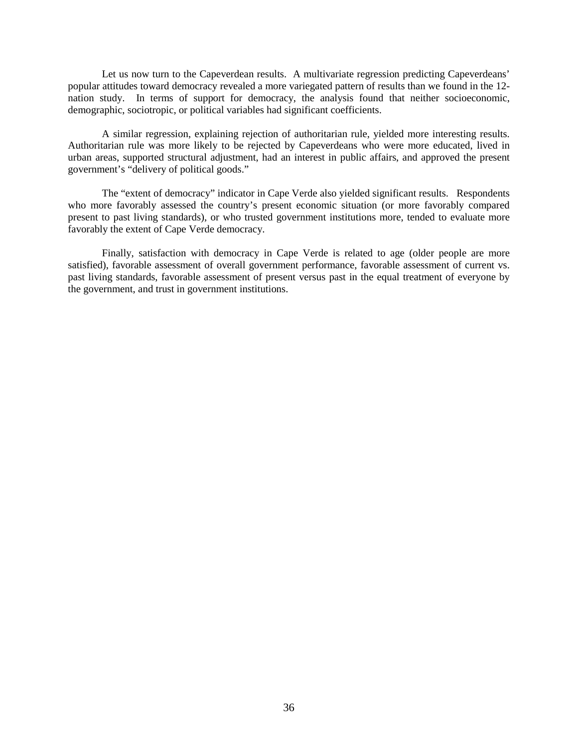Let us now turn to the Capeverdean results. A multivariate regression predicting Capeverdeans' popular attitudes toward democracy revealed a more variegated pattern of results than we found in the 12 nation study. In terms of support for democracy, the analysis found that neither socioeconomic, demographic, sociotropic, or political variables had significant coefficients.

 A similar regression, explaining rejection of authoritarian rule, yielded more interesting results. Authoritarian rule was more likely to be rejected by Capeverdeans who were more educated, lived in urban areas, supported structural adjustment, had an interest in public affairs, and approved the present government's "delivery of political goods."

 The "extent of democracy" indicator in Cape Verde also yielded significant results. Respondents who more favorably assessed the country's present economic situation (or more favorably compared present to past living standards), or who trusted government institutions more, tended to evaluate more favorably the extent of Cape Verde democracy.

 Finally, satisfaction with democracy in Cape Verde is related to age (older people are more satisfied), favorable assessment of overall government performance, favorable assessment of current vs. past living standards, favorable assessment of present versus past in the equal treatment of everyone by the government, and trust in government institutions.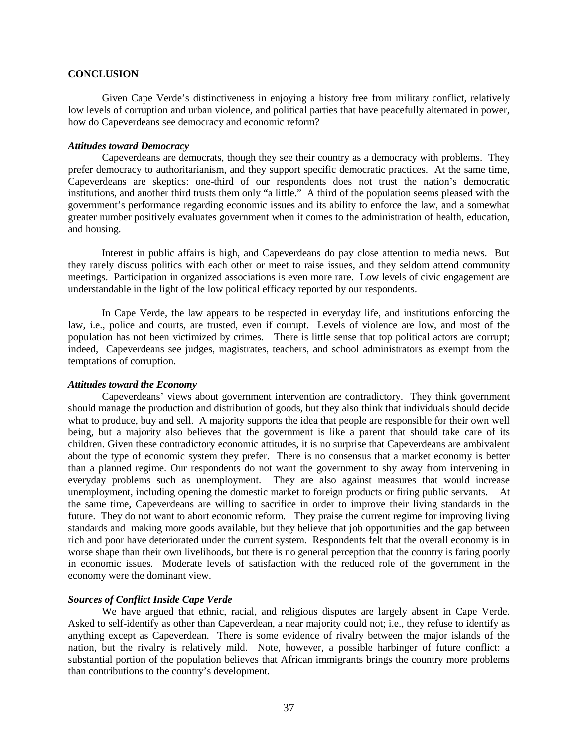#### **CONCLUSION**

Given Cape Verde's distinctiveness in enjoying a history free from military conflict, relatively low levels of corruption and urban violence, and political parties that have peacefully alternated in power, how do Capeverdeans see democracy and economic reform?

#### *Attitudes toward Democracy*

Capeverdeans are democrats, though they see their country as a democracy with problems. They prefer democracy to authoritarianism, and they support specific democratic practices. At the same time, Capeverdeans are skeptics: one-third of our respondents does not trust the nation's democratic institutions, and another third trusts them only "a little." A third of the population seems pleased with the government's performance regarding economic issues and its ability to enforce the law, and a somewhat greater number positively evaluates government when it comes to the administration of health, education, and housing.

 Interest in public affairs is high, and Capeverdeans do pay close attention to media news. But they rarely discuss politics with each other or meet to raise issues, and they seldom attend community meetings. Participation in organized associations is even more rare. Low levels of civic engagement are understandable in the light of the low political efficacy reported by our respondents.

 In Cape Verde, the law appears to be respected in everyday life, and institutions enforcing the law, i.e., police and courts, are trusted, even if corrupt. Levels of violence are low, and most of the population has not been victimized by crimes. There is little sense that top political actors are corrupt; indeed, Capeverdeans see judges, magistrates, teachers, and school administrators as exempt from the temptations of corruption.

### *Attitudes toward the Economy*

Capeverdeans' views about government intervention are contradictory. They think government should manage the production and distribution of goods, but they also think that individuals should decide what to produce, buy and sell. A majority supports the idea that people are responsible for their own well being, but a majority also believes that the government is like a parent that should take care of its children. Given these contradictory economic attitudes, it is no surprise that Capeverdeans are ambivalent about the type of economic system they prefer. There is no consensus that a market economy is better than a planned regime. Our respondents do not want the government to shy away from intervening in everyday problems such as unemployment. They are also against measures that would increase unemployment, including opening the domestic market to foreign products or firing public servants. At the same time, Capeverdeans are willing to sacrifice in order to improve their living standards in the future. They do not want to abort economic reform. They praise the current regime for improving living standards and making more goods available, but they believe that job opportunities and the gap between rich and poor have deteriorated under the current system. Respondents felt that the overall economy is in worse shape than their own livelihoods, but there is no general perception that the country is faring poorly in economic issues. Moderate levels of satisfaction with the reduced role of the government in the economy were the dominant view.

### *Sources of Conflict Inside Cape Verde*

We have argued that ethnic, racial, and religious disputes are largely absent in Cape Verde. Asked to self-identify as other than Capeverdean, a near majority could not; i.e., they refuse to identify as anything except as Capeverdean. There is some evidence of rivalry between the major islands of the nation, but the rivalry is relatively mild. Note, however, a possible harbinger of future conflict: a substantial portion of the population believes that African immigrants brings the country more problems than contributions to the country's development.